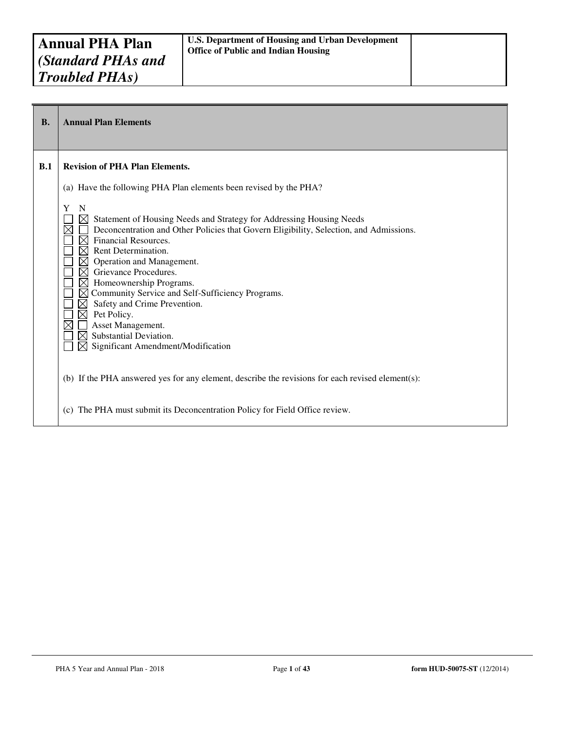| <b>B.</b> | <b>Annual Plan Elements</b>                                                                                                                                                                                                                                                                                                                                                                                                                                                                                                                                                                                                                         |
|-----------|-----------------------------------------------------------------------------------------------------------------------------------------------------------------------------------------------------------------------------------------------------------------------------------------------------------------------------------------------------------------------------------------------------------------------------------------------------------------------------------------------------------------------------------------------------------------------------------------------------------------------------------------------------|
| B.1       | <b>Revision of PHA Plan Elements.</b>                                                                                                                                                                                                                                                                                                                                                                                                                                                                                                                                                                                                               |
|           | (a) Have the following PHA Plan elements been revised by the PHA?                                                                                                                                                                                                                                                                                                                                                                                                                                                                                                                                                                                   |
|           | Y<br>N<br>$\boxtimes$ Statement of Housing Needs and Strategy for Addressing Housing Needs<br>Deconcentration and Other Policies that Govern Eligibility, Selection, and Admissions.<br>$\boxtimes$ Financial Resources.<br>Rent Determination.<br>$\bowtie$<br>$\boxtimes$ Operation and Management.<br>Grievance Procedures.<br>$\boxtimes$<br>Homeownership Programs.<br>$\bowtie$<br>Community Service and Self-Sufficiency Programs.<br>$\boxtimes$<br>Safety and Crime Prevention.<br>$\boxtimes$<br>$\times$<br>Pet Policy.<br>Asset Management.<br>Substantial Deviation.<br>$\bowtie$<br>$\boxtimes$<br>Significant Amendment/Modification |
|           | (b) If the PHA answered yes for any element, describe the revisions for each revised element(s):                                                                                                                                                                                                                                                                                                                                                                                                                                                                                                                                                    |
|           | The PHA must submit its Deconcentration Policy for Field Office review.<br>(c)                                                                                                                                                                                                                                                                                                                                                                                                                                                                                                                                                                      |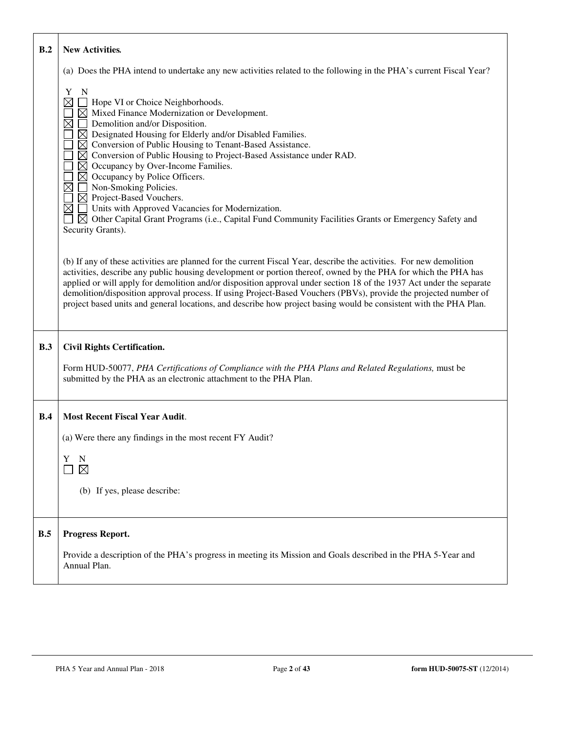| B.2 | <b>New Activities.</b>                                                                                                                                                                                                                                                                                                                                                                                                                                                                                                                                                                                                                                                                                                                                                                                              |
|-----|---------------------------------------------------------------------------------------------------------------------------------------------------------------------------------------------------------------------------------------------------------------------------------------------------------------------------------------------------------------------------------------------------------------------------------------------------------------------------------------------------------------------------------------------------------------------------------------------------------------------------------------------------------------------------------------------------------------------------------------------------------------------------------------------------------------------|
|     | (a) Does the PHA intend to undertake any new activities related to the following in the PHA's current Fiscal Year?                                                                                                                                                                                                                                                                                                                                                                                                                                                                                                                                                                                                                                                                                                  |
|     | Y<br>$\mathbf N$<br>$\boxtimes$<br>Hope VI or Choice Neighborhoods.<br>$\boxtimes$ Mixed Finance Modernization or Development.<br>$\boxtimes$<br>$\Box$ Demolition and/or Disposition.<br>$\boxtimes$ Designated Housing for Elderly and/or Disabled Families.<br>$\boxtimes$ Conversion of Public Housing to Tenant-Based Assistance.<br>$\boxtimes$ Conversion of Public Housing to Project-Based Assistance under RAD.<br>$\boxtimes$ Occupancy by Over-Income Families.<br>$\boxtimes$ Occupancy by Police Officers.<br>$\boxtimes$<br>Non-Smoking Policies.<br>$\boxtimes$ Project-Based Vouchers.<br>$\boxtimes$<br>Units with Approved Vacancies for Modernization.<br>$\boxtimes$ Other Capital Grant Programs (i.e., Capital Fund Community Facilities Grants or Emergency Safety and<br>Security Grants). |
|     | (b) If any of these activities are planned for the current Fiscal Year, describe the activities. For new demolition<br>activities, describe any public housing development or portion thereof, owned by the PHA for which the PHA has<br>applied or will apply for demolition and/or disposition approval under section 18 of the 1937 Act under the separate<br>demolition/disposition approval process. If using Project-Based Vouchers (PBVs), provide the projected number of<br>project based units and general locations, and describe how project basing would be consistent with the PHA Plan.                                                                                                                                                                                                              |
| B.3 | <b>Civil Rights Certification.</b>                                                                                                                                                                                                                                                                                                                                                                                                                                                                                                                                                                                                                                                                                                                                                                                  |
|     | Form HUD-50077, PHA Certifications of Compliance with the PHA Plans and Related Regulations, must be<br>submitted by the PHA as an electronic attachment to the PHA Plan.                                                                                                                                                                                                                                                                                                                                                                                                                                                                                                                                                                                                                                           |
| B.4 | <b>Most Recent Fiscal Year Audit.</b>                                                                                                                                                                                                                                                                                                                                                                                                                                                                                                                                                                                                                                                                                                                                                                               |
|     | (a) Were there any findings in the most recent FY Audit?                                                                                                                                                                                                                                                                                                                                                                                                                                                                                                                                                                                                                                                                                                                                                            |
|     | Y<br>N<br>$\boxtimes$                                                                                                                                                                                                                                                                                                                                                                                                                                                                                                                                                                                                                                                                                                                                                                                               |
|     | (b) If yes, please describe:                                                                                                                                                                                                                                                                                                                                                                                                                                                                                                                                                                                                                                                                                                                                                                                        |
|     |                                                                                                                                                                                                                                                                                                                                                                                                                                                                                                                                                                                                                                                                                                                                                                                                                     |
| B.5 | Progress Report.                                                                                                                                                                                                                                                                                                                                                                                                                                                                                                                                                                                                                                                                                                                                                                                                    |
|     | Provide a description of the PHA's progress in meeting its Mission and Goals described in the PHA 5-Year and<br>Annual Plan.                                                                                                                                                                                                                                                                                                                                                                                                                                                                                                                                                                                                                                                                                        |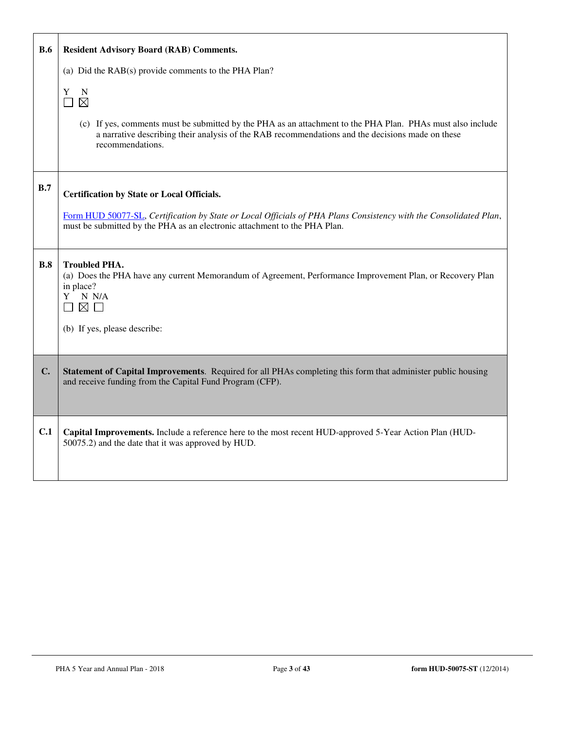| <b>B.6</b> | <b>Resident Advisory Board (RAB) Comments.</b>                                                                                                                                                                                                              |
|------------|-------------------------------------------------------------------------------------------------------------------------------------------------------------------------------------------------------------------------------------------------------------|
|            | (a) Did the RAB(s) provide comments to the PHA Plan?                                                                                                                                                                                                        |
|            | Y<br>N<br>$\boxtimes$<br>(c) If yes, comments must be submitted by the PHA as an attachment to the PHA Plan. PHAs must also include<br>a narrative describing their analysis of the RAB recommendations and the decisions made on these<br>recommendations. |
|            |                                                                                                                                                                                                                                                             |
| B.7        | <b>Certification by State or Local Officials.</b>                                                                                                                                                                                                           |
|            | Form HUD 50077-SL, Certification by State or Local Officials of PHA Plans Consistency with the Consolidated Plan,<br>must be submitted by the PHA as an electronic attachment to the PHA Plan.                                                              |
| B.8        | <b>Troubled PHA.</b><br>(a) Does the PHA have any current Memorandum of Agreement, Performance Improvement Plan, or Recovery Plan<br>in place?<br>N N/A<br>Y<br>$\boxtimes$ $\Box$                                                                          |
|            | (b) If yes, please describe:                                                                                                                                                                                                                                |
| C.         | Statement of Capital Improvements. Required for all PHAs completing this form that administer public housing<br>and receive funding from the Capital Fund Program (CFP).                                                                                    |
| C.1        | Capital Improvements. Include a reference here to the most recent HUD-approved 5-Year Action Plan (HUD-<br>50075.2) and the date that it was approved by HUD.                                                                                               |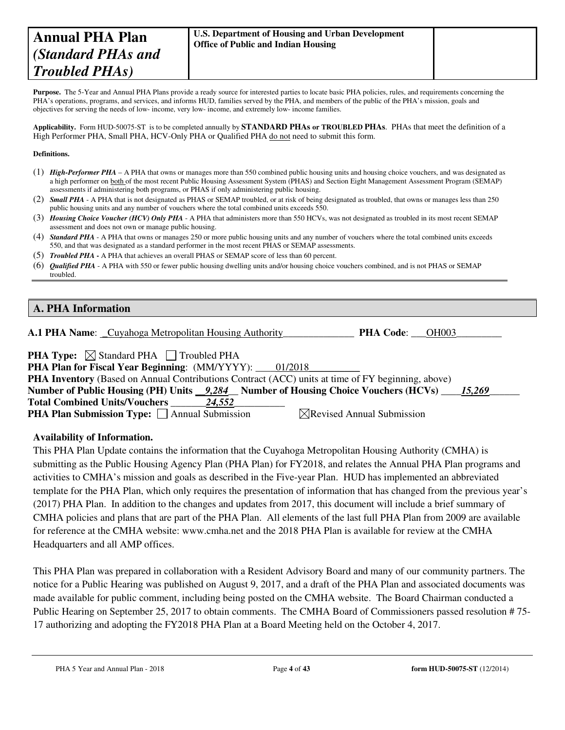# **Annual PHA Plan**  *(Standard PHAs and Troubled PHAs)*

| U.S. Department of Housing and Urban Development |
|--------------------------------------------------|
| <b>Office of Public and Indian Housing</b>       |

Purpose. The 5-Year and Annual PHA Plans provide a ready source for interested parties to locate basic PHA policies, rules, and requirements concerning the PHA's operations, programs, and services, and informs HUD, families served by the PHA, and members of the public of the PHA's mission, goals and objectives for serving the needs of low- income, very low- income, and extremely low- income families.

**Applicability.** Form HUD-50075-ST is to be completed annually by **STANDARD PHAs or TROUBLED PHAs**. PHAs that meet the definition of a High Performer PHA, Small PHA, HCV-Only PHA or Qualified PHA do not need to submit this form.

#### **Definitions.**

- (1) *High-Performer PHA* A PHA that owns or manages more than 550 combined public housing units and housing choice vouchers, and was designated as a high performer on both of the most recent Public Housing Assessment System (PHAS) and Section Eight Management Assessment Program (SEMAP) assessments if administering both programs, or PHAS if only administering public housing.
- (2) *Small PHA* A PHA that is not designated as PHAS or SEMAP troubled, or at risk of being designated as troubled, that owns or manages less than 250 public housing units and any number of vouchers where the total combined units exceeds 550.
- (3) *Housing Choice Voucher (HCV) Only PHA* A PHA that administers more than 550 HCVs, was not designated as troubled in its most recent SEMAP assessment and does not own or manage public housing.
- (4) *Standard PHA* A PHA that owns or manages 250 or more public housing units and any number of vouchers where the total combined units exceeds 550, and that was designated as a standard performer in the most recent PHAS or SEMAP assessments.
- (5) *Troubled PHA* **-** A PHA that achieves an overall PHAS or SEMAP score of less than 60 percent.
- (6) *Qualified PHA* A PHA with 550 or fewer public housing dwelling units and/or housing choice vouchers combined, and is not PHAS or SEMAP troubled.

#### **A. PHA Information**

| <b>A.1 PHA Name:</b> Cuyahoga Metropolitan Housing Authority |  |  |  | <b>PHA Code:</b> | <b>OH003</b> |
|--------------------------------------------------------------|--|--|--|------------------|--------------|
|                                                              |  |  |  |                  |              |

| <b>PHA Type:</b> $\boxtimes$ Standard PHA $\Box$ Troubled PHA |  |
|---------------------------------------------------------------|--|
|                                                               |  |

| <b>PHA Plan for Fiscal Year Beginning:</b> (MM/YYYY): 01/2018                                            |  |  |  |  |  |
|----------------------------------------------------------------------------------------------------------|--|--|--|--|--|
| <b>PHA Inventory</b> (Based on Annual Contributions Contract (ACC) units at time of FY beginning, above) |  |  |  |  |  |
| Number of Public Housing (PH) Units 9,284 Number of Housing Choice Vouchers (HCVs) 15,269                |  |  |  |  |  |
| <b>Total Combined Units/Vouchers</b><br>24.552                                                           |  |  |  |  |  |
| <b>PHA Plan Submission Type:</b> □ Annual Submission<br>$\boxtimes$ Revised Annual Submission            |  |  |  |  |  |

#### **Availability of Information.**

This PHA Plan Update contains the information that the Cuyahoga Metropolitan Housing Authority (CMHA) is submitting as the Public Housing Agency Plan (PHA Plan) for FY2018, and relates the Annual PHA Plan programs and activities to CMHA's mission and goals as described in the Five-year Plan. HUD has implemented an abbreviated template for the PHA Plan, which only requires the presentation of information that has changed from the previous year's (2017) PHA Plan. In addition to the changes and updates from 2017, this document will include a brief summary of CMHA policies and plans that are part of the PHA Plan. All elements of the last full PHA Plan from 2009 are available for reference at the CMHA website: www.cmha.net and the 2018 PHA Plan is available for review at the CMHA Headquarters and all AMP offices.

This PHA Plan was prepared in collaboration with a Resident Advisory Board and many of our community partners. The notice for a Public Hearing was published on August 9, 2017, and a draft of the PHA Plan and associated documents was made available for public comment, including being posted on the CMHA website. The Board Chairman conducted a Public Hearing on September 25, 2017 to obtain comments. The CMHA Board of Commissioners passed resolution # 75- 17 authorizing and adopting the FY2018 PHA Plan at a Board Meeting held on the October 4, 2017.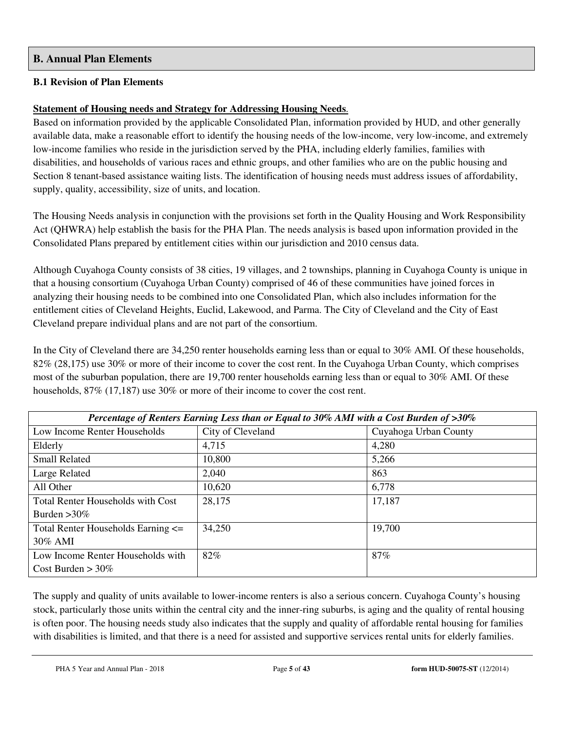#### **B. Annual Plan Elements**

#### **B.1 Revision of Plan Elements**

# **Statement of Housing needs and Strategy for Addressing Housing Needs**.

Based on information provided by the applicable Consolidated Plan, information provided by HUD, and other generally available data, make a reasonable effort to identify the housing needs of the low-income, very low-income, and extremely low-income families who reside in the jurisdiction served by the PHA, including elderly families, families with disabilities, and households of various races and ethnic groups, and other families who are on the public housing and Section 8 tenant-based assistance waiting lists. The identification of housing needs must address issues of affordability, supply, quality, accessibility, size of units, and location.

The Housing Needs analysis in conjunction with the provisions set forth in the Quality Housing and Work Responsibility Act (QHWRA) help establish the basis for the PHA Plan. The needs analysis is based upon information provided in the Consolidated Plans prepared by entitlement cities within our jurisdiction and 2010 census data.

Although Cuyahoga County consists of 38 cities, 19 villages, and 2 townships, planning in Cuyahoga County is unique in that a housing consortium (Cuyahoga Urban County) comprised of 46 of these communities have joined forces in analyzing their housing needs to be combined into one Consolidated Plan, which also includes information for the entitlement cities of Cleveland Heights, Euclid, Lakewood, and Parma. The City of Cleveland and the City of East Cleveland prepare individual plans and are not part of the consortium.

In the City of Cleveland there are 34,250 renter households earning less than or equal to 30% AMI. Of these households, 82% (28,175) use 30% or more of their income to cover the cost rent. In the Cuyahoga Urban County, which comprises most of the suburban population, there are 19,700 renter households earning less than or equal to 30% AMI. Of these households, 87% (17,187) use 30% or more of their income to cover the cost rent.

| Percentage of Renters Earning Less than or Equal to 30% AMI with a Cost Burden of >30% |                   |                       |  |  |  |
|----------------------------------------------------------------------------------------|-------------------|-----------------------|--|--|--|
| Low Income Renter Households                                                           | City of Cleveland | Cuyahoga Urban County |  |  |  |
| Elderly                                                                                | 4,715             | 4,280                 |  |  |  |
| <b>Small Related</b>                                                                   | 10,800            | 5,266                 |  |  |  |
| Large Related                                                                          | 2,040             | 863                   |  |  |  |
| All Other                                                                              | 10,620            | 6,778                 |  |  |  |
| <b>Total Renter Households with Cost</b>                                               | 28,175            | 17,187                |  |  |  |
| Burden $>30\%$                                                                         |                   |                       |  |  |  |
| Total Renter Households Earning <=                                                     | 34,250            | 19,700                |  |  |  |
| $30\%$ AMI                                                                             |                   |                       |  |  |  |
| Low Income Renter Households with                                                      | 82%               | 87%                   |  |  |  |
| Cost Burden $> 30\%$                                                                   |                   |                       |  |  |  |

The supply and quality of units available to lower-income renters is also a serious concern. Cuyahoga County's housing stock, particularly those units within the central city and the inner-ring suburbs, is aging and the quality of rental housing is often poor. The housing needs study also indicates that the supply and quality of affordable rental housing for families with disabilities is limited, and that there is a need for assisted and supportive services rental units for elderly families.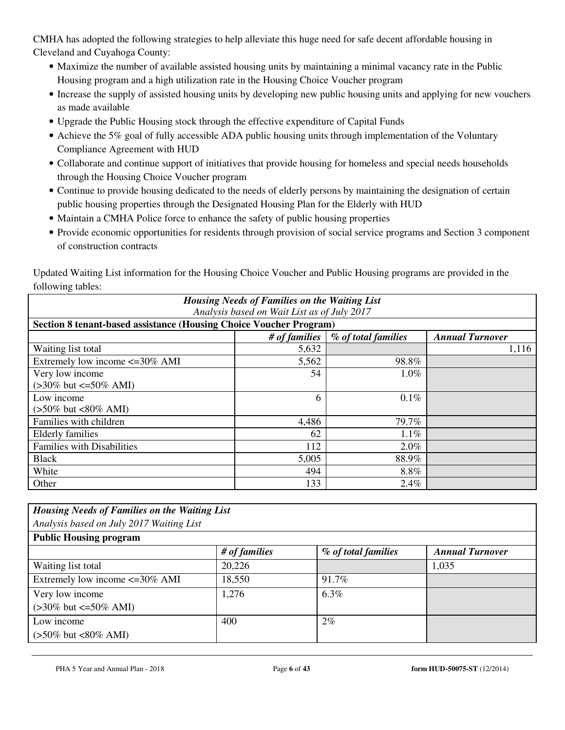CMHA has adopted the following strategies to help alleviate this huge need for safe decent affordable housing in Cleveland and Cuyahoga County:

- Maximize the number of available assisted housing units by maintaining a minimal vacancy rate in the Public Housing program and a high utilization rate in the Housing Choice Voucher program
- Increase the supply of assisted housing units by developing new public housing units and applying for new vouchers as made available
- Upgrade the Public Housing stock through the effective expenditure of Capital Funds
- Achieve the 5% goal of fully accessible ADA public housing units through implementation of the Voluntary Compliance Agreement with HUD
- Collaborate and continue support of initiatives that provide housing for homeless and special needs households through the Housing Choice Voucher program
- Continue to provide housing dedicated to the needs of elderly persons by maintaining the designation of certain public housing properties through the Designated Housing Plan for the Elderly with HUD
- Maintain a CMHA Police force to enhance the safety of public housing properties
- Provide economic opportunities for residents through provision of social service programs and Section 3 component of construction contracts

Updated Waiting List information for the Housing Choice Voucher and Public Housing programs are provided in the following tables:

| <b>Housing Needs of Families on the Waiting List</b>               |               |                     |                        |  |  |  |
|--------------------------------------------------------------------|---------------|---------------------|------------------------|--|--|--|
| Analysis based on Wait List as of July 2017                        |               |                     |                        |  |  |  |
| Section 8 tenant-based assistance (Housing Choice Voucher Program) |               |                     |                        |  |  |  |
|                                                                    | # of families | % of total families | <b>Annual Turnover</b> |  |  |  |
| Waiting list total                                                 | 5,632         |                     | 1,116                  |  |  |  |
| Extremely low income $\leq$ =30% AMI                               | 5,562         | 98.8%               |                        |  |  |  |
| Very low income                                                    | 54            | 1.0%                |                        |  |  |  |
| $(>30\%$ but $\leq 50\%$ AMI)                                      |               |                     |                        |  |  |  |
| Low income                                                         | 6             | 0.1%                |                        |  |  |  |
| $(>50\%$ but <80% AMI)                                             |               |                     |                        |  |  |  |
| Families with children                                             | 4,486         | 79.7%               |                        |  |  |  |
| Elderly families                                                   | 62            | $1.1\%$             |                        |  |  |  |
| <b>Families with Disabilities</b>                                  | 112           | 2.0%                |                        |  |  |  |
| <b>Black</b>                                                       | 5,005         | 88.9%               |                        |  |  |  |
| White                                                              | 494           | 8.8%                |                        |  |  |  |
| Other                                                              | 133           | 2.4%                |                        |  |  |  |

| <b>Housing Needs of Families on the Waiting List</b> |               |                     |                        |  |  |
|------------------------------------------------------|---------------|---------------------|------------------------|--|--|
| Analysis based on July 2017 Waiting List             |               |                     |                        |  |  |
| <b>Public Housing program</b>                        |               |                     |                        |  |  |
|                                                      | # of families | % of total families | <b>Annual Turnover</b> |  |  |
| Waiting list total                                   | 20,226        |                     | 1,035                  |  |  |
| Extremely low income $\leq$ =30% AMI                 | 18,550        | 91.7%               |                        |  |  |
| Very low income                                      | 1,276         | $6.3\%$             |                        |  |  |
| $(>30\%$ but $\leq 50\%$ AMI)                        |               |                     |                        |  |  |
| Low income                                           | 400           | $2\%$               |                        |  |  |
| $(>50\%$ but <80% AMI)                               |               |                     |                        |  |  |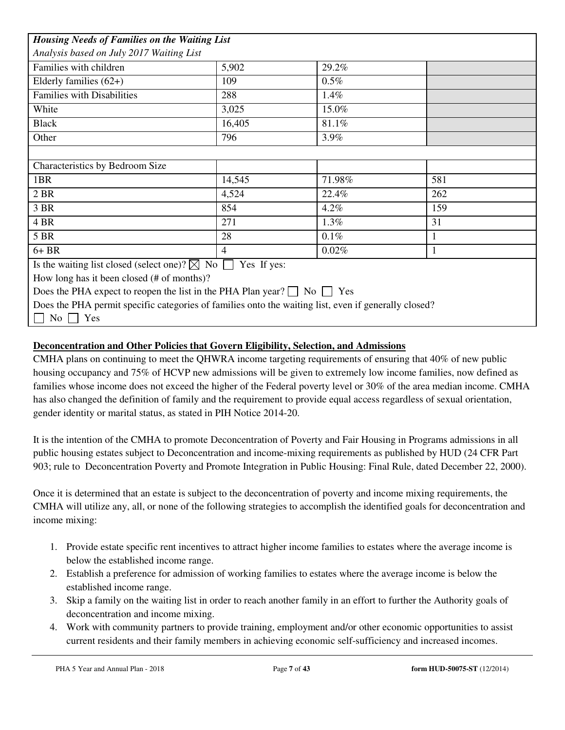| <b>Housing Needs of Families on the Waiting List</b>                                                 |                |         |     |  |  |
|------------------------------------------------------------------------------------------------------|----------------|---------|-----|--|--|
| Analysis based on July 2017 Waiting List                                                             |                |         |     |  |  |
| Families with children                                                                               | 5,902          | 29.2%   |     |  |  |
| Elderly families $(62+)$                                                                             | 109            | $0.5\%$ |     |  |  |
| <b>Families with Disabilities</b>                                                                    | 288            | 1.4%    |     |  |  |
| White                                                                                                | 3,025          | 15.0%   |     |  |  |
| <b>Black</b>                                                                                         | 16,405         | 81.1%   |     |  |  |
| Other                                                                                                | 796            | 3.9%    |     |  |  |
|                                                                                                      |                |         |     |  |  |
| Characteristics by Bedroom Size                                                                      |                |         |     |  |  |
| 1BR                                                                                                  | 14,545         | 71.98%  | 581 |  |  |
| 2 BR                                                                                                 | 4,524          | 22.4%   | 262 |  |  |
| 3 BR                                                                                                 | 854            | $4.2\%$ | 159 |  |  |
| 4 BR                                                                                                 | 271            | 1.3%    | 31  |  |  |
| 5 BR                                                                                                 | 28             | $0.1\%$ |     |  |  |
| $6+BR$                                                                                               | $\overline{4}$ | 0.02%   | 1   |  |  |
| Is the waiting list closed (select one)? $\boxtimes$ No $\Box$<br>Yes If yes:                        |                |         |     |  |  |
| How long has it been closed $(\# \text{ of months})$ ?                                               |                |         |     |  |  |
| Does the PHA expect to reopen the list in the PHA Plan year? $\Box$ No $\Box$ Yes                    |                |         |     |  |  |
| Does the PHA permit specific categories of families onto the waiting list, even if generally closed? |                |         |     |  |  |
| $No \ \Box \ Yes$                                                                                    |                |         |     |  |  |

### **Deconcentration and Other Policies that Govern Eligibility, Selection, and Admissions**

CMHA plans on continuing to meet the QHWRA income targeting requirements of ensuring that 40% of new public housing occupancy and 75% of HCVP new admissions will be given to extremely low income families, now defined as families whose income does not exceed the higher of the Federal poverty level or 30% of the area median income. CMHA has also changed the definition of family and the requirement to provide equal access regardless of sexual orientation, gender identity or marital status, as stated in PIH Notice 2014-20.

It is the intention of the CMHA to promote Deconcentration of Poverty and Fair Housing in Programs admissions in all public housing estates subject to Deconcentration and income-mixing requirements as published by HUD (24 CFR Part 903; rule to Deconcentration Poverty and Promote Integration in Public Housing: Final Rule, dated December 22, 2000).

Once it is determined that an estate is subject to the deconcentration of poverty and income mixing requirements, the CMHA will utilize any, all, or none of the following strategies to accomplish the identified goals for deconcentration and income mixing:

- 1. Provide estate specific rent incentives to attract higher income families to estates where the average income is below the established income range.
- 2. Establish a preference for admission of working families to estates where the average income is below the established income range.
- 3. Skip a family on the waiting list in order to reach another family in an effort to further the Authority goals of deconcentration and income mixing.
- 4. Work with community partners to provide training, employment and/or other economic opportunities to assist current residents and their family members in achieving economic self-sufficiency and increased incomes.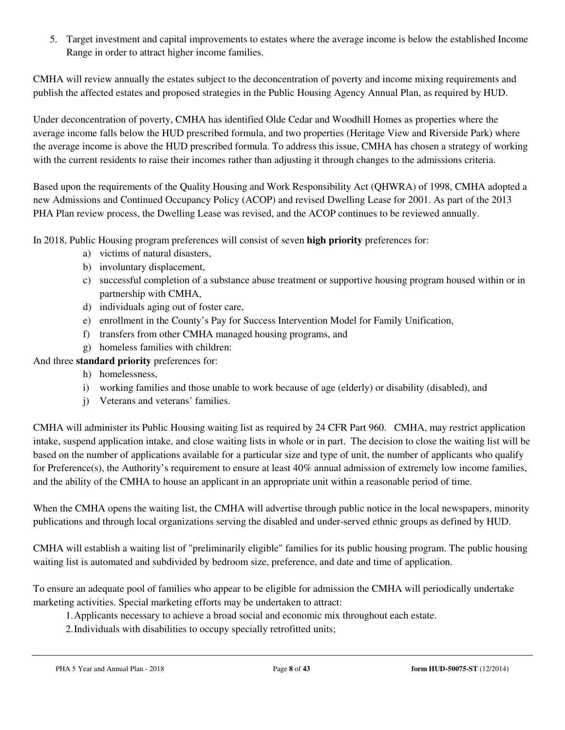5. Target investment and capital improvements to estates where the average income is below the established Income Range in order to attract higher income families.

CMHA will review annually the estates subject to the deconcentration of poverty and income mixing requirements and publish the affected estates and proposed strategies in the Public Housing Agency Annual Plan, as required by HUD.

Under deconcentration of poverty, CMHA has identified Olde Cedar and Woodhill Homes as properties where the average income falls below the HUD prescribed formula, and two properties (Heritage View and Riverside Park) where the average income is above the HUD prescribed formula. To address this issue, CMHA has chosen a strategy of working with the current residents to raise their incomes rather than adjusting it through changes to the admissions criteria.

Based upon the requirements of the Quality Housing and Work Responsibility Act (QHWRA) of 1998, CMHA adopted a new Admissions and Continued Occupancy Policy (ACOP) and revised Dwelling Lease for 2001. As part of the 2013 PHA Plan review process, the Dwelling Lease was revised, and the ACOP continues to be reviewed annually.

In 2018, Public Housing program preferences will consist of seven **high priority** preferences for:

- a) victims of natural disasters,
- b) involuntary displacement,
- c) successful completion of a substance abuse treatment or supportive housing program housed within or in partnership with CMHA,
- d) individuals aging out of foster care,
- e) enrollment in the County's Pay for Success Intervention Model for Family Unification,
- f) transfers from other CMHA managed housing programs, and
- g) homeless families with children:

And three **standard priority** preferences for:

- h) homelessness,
- i) working families and those unable to work because of age (elderly) or disability (disabled), and
- j) Veterans and veterans' families.

CMHA will administer its Public Housing waiting list as required by 24 CFR Part 960. CMHA, may restrict application intake, suspend application intake, and close waiting lists in whole or in part. The decision to close the waiting list will be based on the number of applications available for a particular size and type of unit, the number of applicants who qualify for Preference(s), the Authority's requirement to ensure at least  $40\%$  annual admission of extremely low income families, and the ability of the CMHA to house an applicant in an appropriate unit within a reasonable period of time.

When the CMHA opens the waiting list, the CMHA will advertise through public notice in the local newspapers, minority publications and through local organizations serving the disabled and under-served ethnic groups as defined by HUD.

CMHA will establish a waiting list of "preliminarily eligible" families for its public housing program. The public housing waiting list is automated and subdivided by bedroom size, preference, and date and time of application.

To ensure an adequate pool of families who appear to be eligible for admission the CMHA will periodically undertake marketing activities. Special marketing efforts may be undertaken to attract:

1.Applicants necessary to achieve a broad social and economic mix throughout each estate.

2.Individuals with disabilities to occupy specially retrofitted units;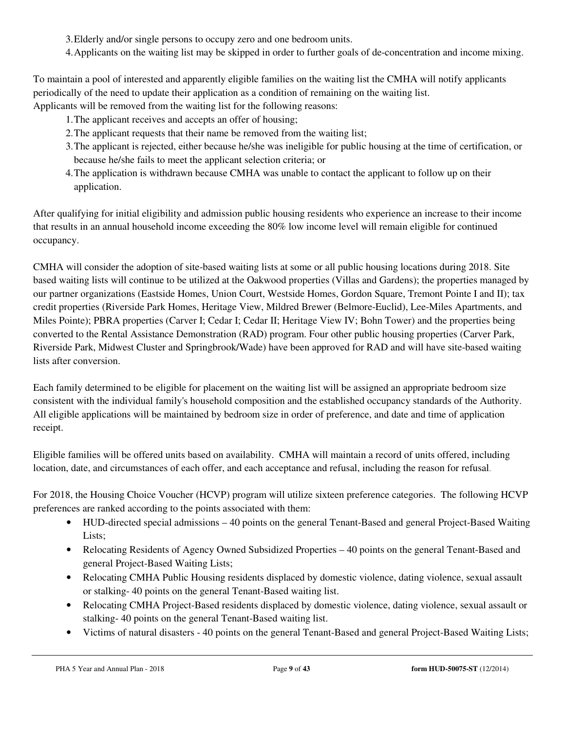3.Elderly and/or single persons to occupy zero and one bedroom units.

4.Applicants on the waiting list may be skipped in order to further goals of de-concentration and income mixing.

To maintain a pool of interested and apparently eligible families on the waiting list the CMHA will notify applicants periodically of the need to update their application as a condition of remaining on the waiting list. Applicants will be removed from the waiting list for the following reasons:

- 1.The applicant receives and accepts an offer of housing;
- 2.The applicant requests that their name be removed from the waiting list;
- 3.The applicant is rejected, either because he/she was ineligible for public housing at the time of certification, or because he/she fails to meet the applicant selection criteria; or
- 4.The application is withdrawn because CMHA was unable to contact the applicant to follow up on their application.

After qualifying for initial eligibility and admission public housing residents who experience an increase to their income that results in an annual household income exceeding the 80% low income level will remain eligible for continued occupancy.

CMHA will consider the adoption of site-based waiting lists at some or all public housing locations during 2018. Site based waiting lists will continue to be utilized at the Oakwood properties (Villas and Gardens); the properties managed by our partner organizations (Eastside Homes, Union Court, Westside Homes, Gordon Square, Tremont Pointe I and II); tax credit properties (Riverside Park Homes, Heritage View, Mildred Brewer (Belmore-Euclid), Lee-Miles Apartments, and Miles Pointe); PBRA properties (Carver I; Cedar I; Cedar II; Heritage View IV; Bohn Tower) and the properties being converted to the Rental Assistance Demonstration (RAD) program. Four other public housing properties (Carver Park, Riverside Park, Midwest Cluster and Springbrook/Wade) have been approved for RAD and will have site-based waiting lists after conversion.

Each family determined to be eligible for placement on the waiting list will be assigned an appropriate bedroom size consistent with the individual family's household composition and the established occupancy standards of the Authority. All eligible applications will be maintained by bedroom size in order of preference, and date and time of application receipt.

Eligible families will be offered units based on availability. CMHA will maintain a record of units offered, including location, date, and circumstances of each offer, and each acceptance and refusal, including the reason for refusal.

For 2018, the Housing Choice Voucher (HCVP) program will utilize sixteen preference categories. The following HCVP preferences are ranked according to the points associated with them:

- HUD-directed special admissions 40 points on the general Tenant-Based and general Project-Based Waiting Lists;
- Relocating Residents of Agency Owned Subsidized Properties 40 points on the general Tenant-Based and general Project-Based Waiting Lists;
- Relocating CMHA Public Housing residents displaced by domestic violence, dating violence, sexual assault or stalking- 40 points on the general Tenant-Based waiting list.
- Relocating CMHA Project-Based residents displaced by domestic violence, dating violence, sexual assault or stalking- 40 points on the general Tenant-Based waiting list.
- Victims of natural disasters 40 points on the general Tenant-Based and general Project-Based Waiting Lists;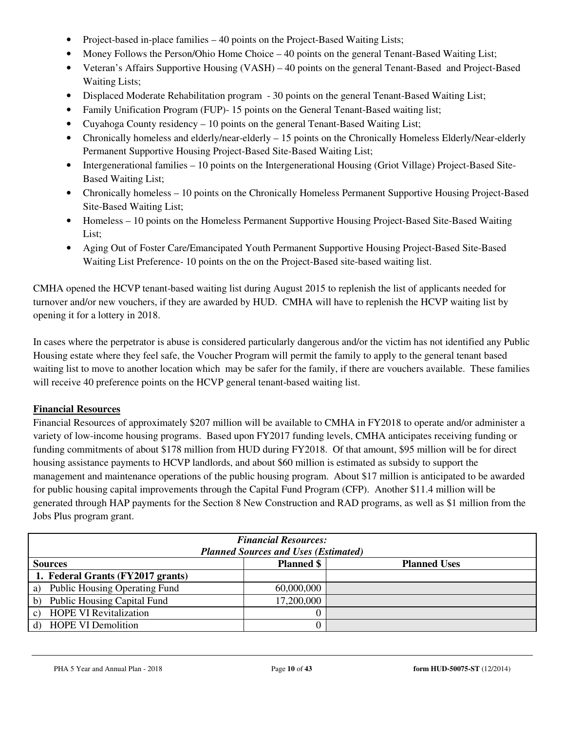- Project-based in-place families 40 points on the Project-Based Waiting Lists;
- Money Follows the Person/Ohio Home Choice 40 points on the general Tenant-Based Waiting List;
- Veteran's Affairs Supportive Housing (VASH) 40 points on the general Tenant-Based and Project-Based Waiting Lists;
- Displaced Moderate Rehabilitation program 30 points on the general Tenant-Based Waiting List;
- Family Unification Program (FUP)- 15 points on the General Tenant-Based waiting list;
- Cuyahoga County residency 10 points on the general Tenant-Based Waiting List;
- Chronically homeless and elderly/near-elderly 15 points on the Chronically Homeless Elderly/Near-elderly Permanent Supportive Housing Project-Based Site-Based Waiting List;
- Intergenerational families 10 points on the Intergenerational Housing (Griot Village) Project-Based Site-Based Waiting List;
- Chronically homeless 10 points on the Chronically Homeless Permanent Supportive Housing Project-Based Site-Based Waiting List;
- Homeless 10 points on the Homeless Permanent Supportive Housing Project-Based Site-Based Waiting List;
- Aging Out of Foster Care/Emancipated Youth Permanent Supportive Housing Project-Based Site-Based Waiting List Preference- 10 points on the on the Project-Based site-based waiting list.

CMHA opened the HCVP tenant-based waiting list during August 2015 to replenish the list of applicants needed for turnover and/or new vouchers, if they are awarded by HUD. CMHA will have to replenish the HCVP waiting list by opening it for a lottery in 2018.

In cases where the perpetrator is abuse is considered particularly dangerous and/or the victim has not identified any Public Housing estate where they feel safe, the Voucher Program will permit the family to apply to the general tenant based waiting list to move to another location which may be safer for the family, if there are vouchers available. These families will receive 40 preference points on the HCVP general tenant-based waiting list.

# **Financial Resources**

Financial Resources of approximately \$207 million will be available to CMHA in FY2018 to operate and/or administer a variety of low-income housing programs. Based upon FY2017 funding levels, CMHA anticipates receiving funding or funding commitments of about \$178 million from HUD during FY2018. Of that amount, \$95 million will be for direct housing assistance payments to HCVP landlords, and about \$60 million is estimated as subsidy to support the management and maintenance operations of the public housing program. About \$17 million is anticipated to be awarded for public housing capital improvements through the Capital Fund Program (CFP). Another \$11.4 million will be generated through HAP payments for the Section 8 New Construction and RAD programs, as well as \$1 million from the Jobs Plus program grant.

| <b>Financial Resources:</b><br><b>Planned Sources and Uses (Estimated)</b> |                   |                     |  |  |  |
|----------------------------------------------------------------------------|-------------------|---------------------|--|--|--|
| <b>Sources</b>                                                             | <b>Planned</b> \$ | <b>Planned Uses</b> |  |  |  |
| 1. Federal Grants (FY2017 grants)                                          |                   |                     |  |  |  |
| a) Public Housing Operating Fund                                           | 60,000,000        |                     |  |  |  |
| b) Public Housing Capital Fund                                             | 17,200,000        |                     |  |  |  |
| <b>HOPE VI Revitalization</b><br>$\mathcal{C}$ )                           |                   |                     |  |  |  |
| d) HOPE VI Demolition                                                      |                   |                     |  |  |  |

PHA 5 Year and Annual Plan - 2018 Page **10** of **43 form HUD-50075-ST** (12/2014)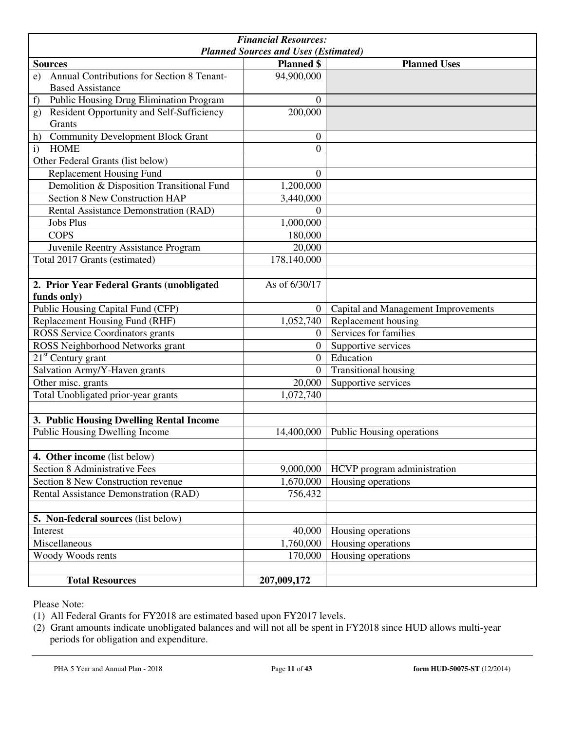| <b>Financial Resources:</b><br><b>Planned Sources and Uses (Estimated)</b>  |                   |                                     |  |  |  |
|-----------------------------------------------------------------------------|-------------------|-------------------------------------|--|--|--|
| <b>Sources</b>                                                              | <b>Planned</b> \$ | <b>Planned Uses</b>                 |  |  |  |
| Annual Contributions for Section 8 Tenant-<br>e)<br><b>Based Assistance</b> | 94,900,000        |                                     |  |  |  |
| Public Housing Drug Elimination Program<br>f)                               | $\theta$          |                                     |  |  |  |
| Resident Opportunity and Self-Sufficiency<br>g)<br>Grants                   | 200,000           |                                     |  |  |  |
| <b>Community Development Block Grant</b><br>h)                              | $\boldsymbol{0}$  |                                     |  |  |  |
| <b>HOME</b><br>$\mathbf{i}$                                                 | $\overline{0}$    |                                     |  |  |  |
| Other Federal Grants (list below)                                           |                   |                                     |  |  |  |
| <b>Replacement Housing Fund</b>                                             | $\theta$          |                                     |  |  |  |
| Demolition & Disposition Transitional Fund                                  | 1,200,000         |                                     |  |  |  |
| <b>Section 8 New Construction HAP</b>                                       | 3,440,000         |                                     |  |  |  |
| Rental Assistance Demonstration (RAD)                                       | $\theta$          |                                     |  |  |  |
| <b>Jobs Plus</b>                                                            | 1,000,000         |                                     |  |  |  |
| <b>COPS</b>                                                                 | 180,000           |                                     |  |  |  |
| Juvenile Reentry Assistance Program                                         | 20,000            |                                     |  |  |  |
| Total 2017 Grants (estimated)                                               | 178,140,000       |                                     |  |  |  |
|                                                                             |                   |                                     |  |  |  |
| 2. Prior Year Federal Grants (unobligated                                   | As of 6/30/17     |                                     |  |  |  |
| funds only)                                                                 |                   |                                     |  |  |  |
| Public Housing Capital Fund (CFP)                                           | $\overline{0}$    | Capital and Management Improvements |  |  |  |
| Replacement Housing Fund (RHF)                                              | 1,052,740         | Replacement housing                 |  |  |  |
| ROSS Service Coordinators grants                                            | $\Omega$          | Services for families               |  |  |  |
| ROSS Neighborhood Networks grant                                            | $\overline{0}$    | Supportive services                 |  |  |  |
| $21st$ Century grant                                                        | $\mathbf{0}$      | Education                           |  |  |  |
| Salvation Army/Y-Haven grants                                               | $\theta$          | <b>Transitional housing</b>         |  |  |  |
| Other misc. grants                                                          | 20,000            | Supportive services                 |  |  |  |
| Total Unobligated prior-year grants                                         | 1,072,740         |                                     |  |  |  |
|                                                                             |                   |                                     |  |  |  |
| 3. Public Housing Dwelling Rental Income                                    |                   |                                     |  |  |  |
| Public Housing Dwelling Income                                              | 14,400,000        | Public Housing operations           |  |  |  |
|                                                                             |                   |                                     |  |  |  |
| 4. Other income (list below)                                                |                   |                                     |  |  |  |
| Section 8 Administrative Fees                                               | 9,000,000         | HCVP program administration         |  |  |  |
| Section 8 New Construction revenue                                          | 1,670,000         | Housing operations                  |  |  |  |
| Rental Assistance Demonstration (RAD)                                       | 756,432           |                                     |  |  |  |
|                                                                             |                   |                                     |  |  |  |
| 5. Non-federal sources (list below)                                         |                   |                                     |  |  |  |
| Interest                                                                    | 40,000            | Housing operations                  |  |  |  |
| Miscellaneous                                                               | 1,760,000         | Housing operations                  |  |  |  |
| Woody Woods rents                                                           | 170,000           | Housing operations                  |  |  |  |
|                                                                             |                   |                                     |  |  |  |
| <b>Total Resources</b>                                                      | 207,009,172       |                                     |  |  |  |

Please Note:

(1) All Federal Grants for FY2018 are estimated based upon FY2017 levels.

(2) Grant amounts indicate unobligated balances and will not all be spent in FY2018 since HUD allows multi-year periods for obligation and expenditure.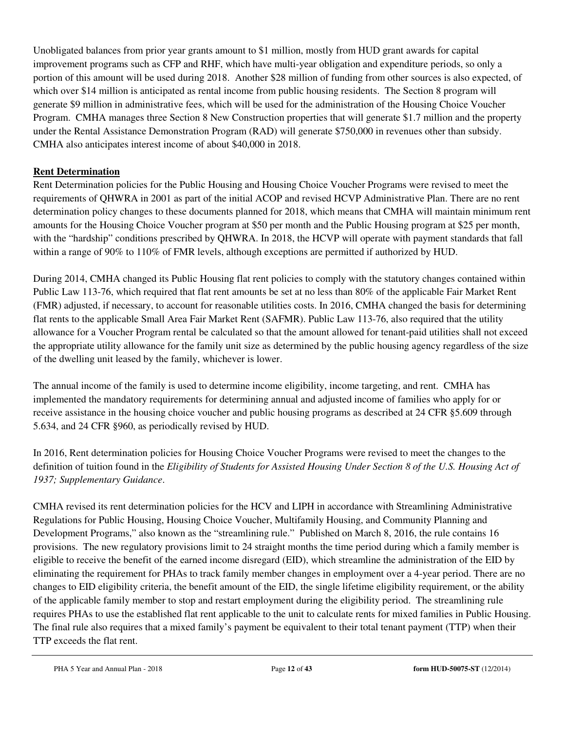Unobligated balances from prior year grants amount to \$1 million, mostly from HUD grant awards for capital improvement programs such as CFP and RHF, which have multi-year obligation and expenditure periods, so only a portion of this amount will be used during 2018. Another \$28 million of funding from other sources is also expected, of which over \$14 million is anticipated as rental income from public housing residents. The Section 8 program will generate \$9 million in administrative fees, which will be used for the administration of the Housing Choice Voucher Program. CMHA manages three Section 8 New Construction properties that will generate \$1.7 million and the property under the Rental Assistance Demonstration Program (RAD) will generate \$750,000 in revenues other than subsidy. CMHA also anticipates interest income of about \$40,000 in 2018.

# **Rent Determination**

Rent Determination policies for the Public Housing and Housing Choice Voucher Programs were revised to meet the requirements of QHWRA in 2001 as part of the initial ACOP and revised HCVP Administrative Plan. There are no rent determination policy changes to these documents planned for 2018, which means that CMHA will maintain minimum rent amounts for the Housing Choice Voucher program at \$50 per month and the Public Housing program at \$25 per month, with the "hardship" conditions prescribed by QHWRA. In 2018, the HCVP will operate with payment standards that fall within a range of 90% to 110% of FMR levels, although exceptions are permitted if authorized by HUD.

During 2014, CMHA changed its Public Housing flat rent policies to comply with the statutory changes contained within Public Law 113-76, which required that flat rent amounts be set at no less than 80% of the applicable Fair Market Rent (FMR) adjusted, if necessary, to account for reasonable utilities costs. In 2016, CMHA changed the basis for determining flat rents to the applicable Small Area Fair Market Rent (SAFMR). Public Law 113-76, also required that the utility allowance for a Voucher Program rental be calculated so that the amount allowed for tenant-paid utilities shall not exceed the appropriate utility allowance for the family unit size as determined by the public housing agency regardless of the size of the dwelling unit leased by the family, whichever is lower.

The annual income of the family is used to determine income eligibility, income targeting, and rent. CMHA has implemented the mandatory requirements for determining annual and adjusted income of families who apply for or receive assistance in the housing choice voucher and public housing programs as described at 24 CFR §5.609 through 5.634, and 24 CFR §960, as periodically revised by HUD.

In 2016, Rent determination policies for Housing Choice Voucher Programs were revised to meet the changes to the definition of tuition found in the *Eligibility of Students for Assisted Housing Under Section 8 of the U.S. Housing Act of 1937; Supplementary Guidance*.

CMHA revised its rent determination policies for the HCV and LIPH in accordance with Streamlining Administrative Regulations for Public Housing, Housing Choice Voucher, Multifamily Housing, and Community Planning and Development Programs," also known as the "streamlining rule." Published on March 8, 2016, the rule contains 16 provisions. The new regulatory provisions limit to 24 straight months the time period during which a family member is eligible to receive the benefit of the earned income disregard (EID), which streamline the administration of the EID by eliminating the requirement for PHAs to track family member changes in employment over a 4-year period. There are no changes to EID eligibility criteria, the benefit amount of the EID, the single lifetime eligibility requirement, or the ability of the applicable family member to stop and restart employment during the eligibility period. The streamlining rule requires PHAs to use the established flat rent applicable to the unit to calculate rents for mixed families in Public Housing. The final rule also requires that a mixed family's payment be equivalent to their total tenant payment (TTP) when their TTP exceeds the flat rent.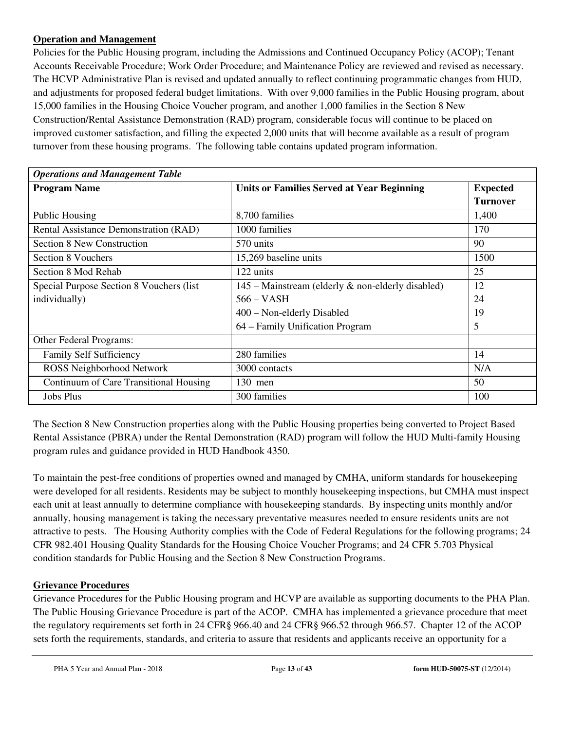#### **Operation and Management**

Policies for the Public Housing program, including the Admissions and Continued Occupancy Policy (ACOP); Tenant Accounts Receivable Procedure; Work Order Procedure; and Maintenance Policy are reviewed and revised as necessary. The HCVP Administrative Plan is revised and updated annually to reflect continuing programmatic changes from HUD, and adjustments for proposed federal budget limitations. With over 9,000 families in the Public Housing program, about 15,000 families in the Housing Choice Voucher program, and another 1,000 families in the Section 8 New Construction/Rental Assistance Demonstration (RAD) program, considerable focus will continue to be placed on improved customer satisfaction, and filling the expected 2,000 units that will become available as a result of program turnover from these housing programs. The following table contains updated program information.

| <b>Operations and Management Table</b>    |                                                     |                 |  |  |  |
|-------------------------------------------|-----------------------------------------------------|-----------------|--|--|--|
| <b>Program Name</b>                       | <b>Units or Families Served at Year Beginning</b>   | <b>Expected</b> |  |  |  |
|                                           |                                                     | <b>Turnover</b> |  |  |  |
| Public Housing                            | 8,700 families                                      | 1,400           |  |  |  |
| Rental Assistance Demonstration (RAD)     | 1000 families                                       | 170             |  |  |  |
| <b>Section 8 New Construction</b>         | 570 units                                           | 90              |  |  |  |
| Section 8 Vouchers                        | 15,269 baseline units                               | 1500            |  |  |  |
| Section 8 Mod Rehab                       | 122 units                                           | 25              |  |  |  |
| Special Purpose Section 8 Vouchers (list) | $145$ – Mainstream (elderly & non-elderly disabled) | 12              |  |  |  |
| individually)                             | 566 – VASH                                          | 24              |  |  |  |
|                                           | 400 – Non-elderly Disabled                          | 19              |  |  |  |
|                                           | 64 - Family Unification Program                     | 5               |  |  |  |
| Other Federal Programs:                   |                                                     |                 |  |  |  |
| <b>Family Self Sufficiency</b>            | 280 families                                        | 14              |  |  |  |
| ROSS Neighborhood Network                 | 3000 contacts                                       | N/A             |  |  |  |
| Continuum of Care Transitional Housing    | $130$ men                                           | 50              |  |  |  |
| <b>Jobs Plus</b>                          | 300 families                                        | 100             |  |  |  |

The Section 8 New Construction properties along with the Public Housing properties being converted to Project Based Rental Assistance (PBRA) under the Rental Demonstration (RAD) program will follow the HUD Multi-family Housing program rules and guidance provided in HUD Handbook 4350.

To maintain the pest-free conditions of properties owned and managed by CMHA, uniform standards for housekeeping were developed for all residents. Residents may be subject to monthly housekeeping inspections, but CMHA must inspect each unit at least annually to determine compliance with housekeeping standards. By inspecting units monthly and/or annually, housing management is taking the necessary preventative measures needed to ensure residents units are not attractive to pests. The Housing Authority complies with the Code of Federal Regulations for the following programs; 24 CFR 982.401 Housing Quality Standards for the Housing Choice Voucher Programs; and 24 CFR 5.703 Physical condition standards for Public Housing and the Section 8 New Construction Programs.

#### **Grievance Procedures**

Grievance Procedures for the Public Housing program and HCVP are available as supporting documents to the PHA Plan. The Public Housing Grievance Procedure is part of the ACOP. CMHA has implemented a grievance procedure that meet the regulatory requirements set forth in 24 CFR§ 966.40 and 24 CFR§ 966.52 through 966.57. Chapter 12 of the ACOP sets forth the requirements, standards, and criteria to assure that residents and applicants receive an opportunity for a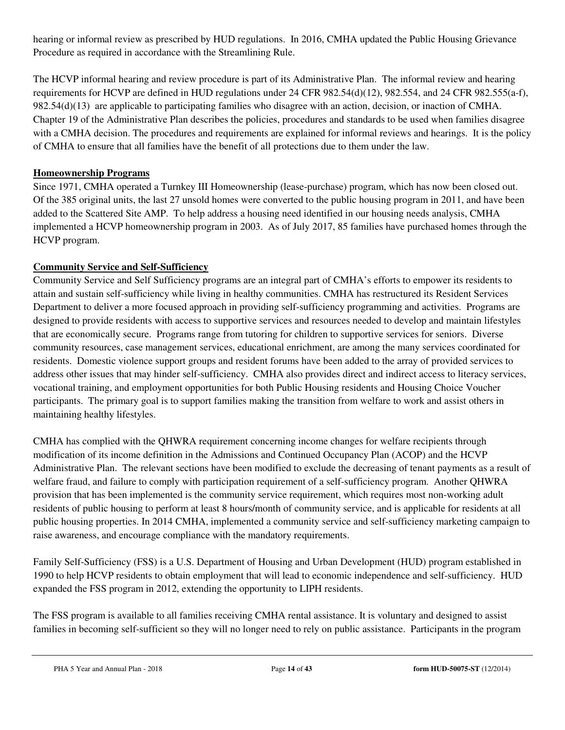hearing or informal review as prescribed by HUD regulations. In 2016, CMHA updated the Public Housing Grievance Procedure as required in accordance with the Streamlining Rule.

The HCVP informal hearing and review procedure is part of its Administrative Plan. The informal review and hearing requirements for HCVP are defined in HUD regulations under 24 CFR 982.54(d)(12), 982.554, and 24 CFR 982.555(a-f), 982.54(d)(13) are applicable to participating families who disagree with an action, decision, or inaction of CMHA. Chapter 19 of the Administrative Plan describes the policies, procedures and standards to be used when families disagree with a CMHA decision. The procedures and requirements are explained for informal reviews and hearings. It is the policy of CMHA to ensure that all families have the benefit of all protections due to them under the law.

#### **Homeownership Programs**

Since 1971, CMHA operated a Turnkey III Homeownership (lease-purchase) program, which has now been closed out. Of the 385 original units, the last 27 unsold homes were converted to the public housing program in 2011, and have been added to the Scattered Site AMP. To help address a housing need identified in our housing needs analysis, CMHA implemented a HCVP homeownership program in 2003. As of July 2017, 85 families have purchased homes through the HCVP program.

# **Community Service and Self-Sufficiency**

Community Service and Self Sufficiency programs are an integral part of CMHA's efforts to empower its residents to attain and sustain self-sufficiency while living in healthy communities. CMHA has restructured its Resident Services Department to deliver a more focused approach in providing self-sufficiency programming and activities. Programs are designed to provide residents with access to supportive services and resources needed to develop and maintain lifestyles that are economically secure. Programs range from tutoring for children to supportive services for seniors. Diverse community resources, case management services, educational enrichment, are among the many services coordinated for residents. Domestic violence support groups and resident forums have been added to the array of provided services to address other issues that may hinder self-sufficiency. CMHA also provides direct and indirect access to literacy services, vocational training, and employment opportunities for both Public Housing residents and Housing Choice Voucher participants. The primary goal is to support families making the transition from welfare to work and assist others in maintaining healthy lifestyles.

CMHA has complied with the QHWRA requirement concerning income changes for welfare recipients through modification of its income definition in the Admissions and Continued Occupancy Plan (ACOP) and the HCVP Administrative Plan. The relevant sections have been modified to exclude the decreasing of tenant payments as a result of welfare fraud, and failure to comply with participation requirement of a self-sufficiency program. Another QHWRA provision that has been implemented is the community service requirement, which requires most non-working adult residents of public housing to perform at least 8 hours/month of community service, and is applicable for residents at all public housing properties. In 2014 CMHA, implemented a community service and self-sufficiency marketing campaign to raise awareness, and encourage compliance with the mandatory requirements.

Family Self-Sufficiency (FSS) is a U.S. Department of Housing and Urban Development (HUD) program established in 1990 to help HCVP residents to obtain employment that will lead to economic independence and self-sufficiency. HUD expanded the FSS program in 2012, extending the opportunity to LIPH residents.

The FSS program is available to all families receiving CMHA rental assistance. It is voluntary and designed to assist families in becoming self-sufficient so they will no longer need to rely on public assistance. Participants in the program

PHA 5 Year and Annual Plan - 2018 Page **14** of **43 form HUD-50075-ST** (12/2014)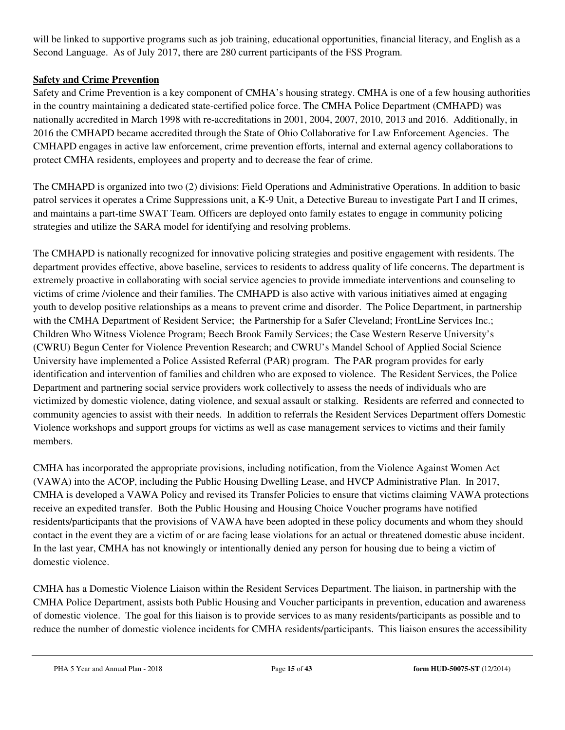will be linked to supportive programs such as job training, educational opportunities, financial literacy, and English as a Second Language. As of July 2017, there are 280 current participants of the FSS Program.

# **Safety and Crime Prevention**

Safety and Crime Prevention is a key component of CMHA's housing strategy. CMHA is one of a few housing authorities in the country maintaining a dedicated state-certified police force. The CMHA Police Department (CMHAPD) was nationally accredited in March 1998 with re-accreditations in 2001, 2004, 2007, 2010, 2013 and 2016. Additionally, in 2016 the CMHAPD became accredited through the State of Ohio Collaborative for Law Enforcement Agencies. The CMHAPD engages in active law enforcement, crime prevention efforts, internal and external agency collaborations to protect CMHA residents, employees and property and to decrease the fear of crime.

The CMHAPD is organized into two (2) divisions: Field Operations and Administrative Operations. In addition to basic patrol services it operates a Crime Suppressions unit, a K-9 Unit, a Detective Bureau to investigate Part I and II crimes, and maintains a part-time SWAT Team. Officers are deployed onto family estates to engage in community policing strategies and utilize the SARA model for identifying and resolving problems.

The CMHAPD is nationally recognized for innovative policing strategies and positive engagement with residents. The department provides effective, above baseline, services to residents to address quality of life concerns. The department is extremely proactive in collaborating with social service agencies to provide immediate interventions and counseling to victims of crime /violence and their families. The CMHAPD is also active with various initiatives aimed at engaging youth to develop positive relationships as a means to prevent crime and disorder. The Police Department, in partnership with the CMHA Department of Resident Service; the Partnership for a Safer Cleveland; FrontLine Services Inc.; Children Who Witness Violence Program; Beech Brook Family Services; the Case Western Reserve University's (CWRU) Begun Center for Violence Prevention Research; and CWRU's Mandel School of Applied Social Science University have implemented a Police Assisted Referral (PAR) program. The PAR program provides for early identification and intervention of families and children who are exposed to violence. The Resident Services, the Police Department and partnering social service providers work collectively to assess the needs of individuals who are victimized by domestic violence, dating violence, and sexual assault or stalking. Residents are referred and connected to community agencies to assist with their needs. In addition to referrals the Resident Services Department offers Domestic Violence workshops and support groups for victims as well as case management services to victims and their family members.

CMHA has incorporated the appropriate provisions, including notification, from the Violence Against Women Act (VAWA) into the ACOP, including the Public Housing Dwelling Lease, and HVCP Administrative Plan. In 2017, CMHA is developed a VAWA Policy and revised its Transfer Policies to ensure that victims claiming VAWA protections receive an expedited transfer. Both the Public Housing and Housing Choice Voucher programs have notified residents/participants that the provisions of VAWA have been adopted in these policy documents and whom they should contact in the event they are a victim of or are facing lease violations for an actual or threatened domestic abuse incident. In the last year, CMHA has not knowingly or intentionally denied any person for housing due to being a victim of domestic violence.

CMHA has a Domestic Violence Liaison within the Resident Services Department. The liaison, in partnership with the CMHA Police Department, assists both Public Housing and Voucher participants in prevention, education and awareness of domestic violence. The goal for this liaison is to provide services to as many residents/participants as possible and to reduce the number of domestic violence incidents for CMHA residents/participants. This liaison ensures the accessibility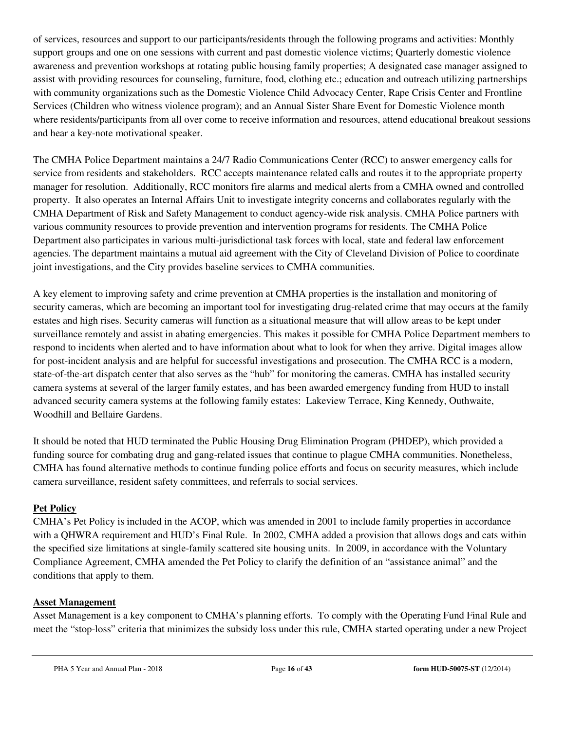of services, resources and support to our participants/residents through the following programs and activities: Monthly support groups and one on one sessions with current and past domestic violence victims; Quarterly domestic violence awareness and prevention workshops at rotating public housing family properties; A designated case manager assigned to assist with providing resources for counseling, furniture, food, clothing etc.; education and outreach utilizing partnerships with community organizations such as the Domestic Violence Child Advocacy Center, Rape Crisis Center and Frontline Services (Children who witness violence program); and an Annual Sister Share Event for Domestic Violence month where residents/participants from all over come to receive information and resources, attend educational breakout sessions and hear a key-note motivational speaker.

The CMHA Police Department maintains a 24/7 Radio Communications Center (RCC) to answer emergency calls for service from residents and stakeholders. RCC accepts maintenance related calls and routes it to the appropriate property manager for resolution. Additionally, RCC monitors fire alarms and medical alerts from a CMHA owned and controlled property. It also operates an Internal Affairs Unit to investigate integrity concerns and collaborates regularly with the CMHA Department of Risk and Safety Management to conduct agency-wide risk analysis. CMHA Police partners with various community resources to provide prevention and intervention programs for residents. The CMHA Police Department also participates in various multi-jurisdictional task forces with local, state and federal law enforcement agencies. The department maintains a mutual aid agreement with the City of Cleveland Division of Police to coordinate joint investigations, and the City provides baseline services to CMHA communities.

A key element to improving safety and crime prevention at CMHA properties is the installation and monitoring of security cameras, which are becoming an important tool for investigating drug-related crime that may occurs at the family estates and high rises. Security cameras will function as a situational measure that will allow areas to be kept under surveillance remotely and assist in abating emergencies. This makes it possible for CMHA Police Department members to respond to incidents when alerted and to have information about what to look for when they arrive. Digital images allow for post-incident analysis and are helpful for successful investigations and prosecution. The CMHA RCC is a modern, state-of-the-art dispatch center that also serves as the "hub" for monitoring the cameras. CMHA has installed security camera systems at several of the larger family estates, and has been awarded emergency funding from HUD to install advanced security camera systems at the following family estates: Lakeview Terrace, King Kennedy, Outhwaite, Woodhill and Bellaire Gardens.

It should be noted that HUD terminated the Public Housing Drug Elimination Program (PHDEP), which provided a funding source for combating drug and gang-related issues that continue to plague CMHA communities. Nonetheless, CMHA has found alternative methods to continue funding police efforts and focus on security measures, which include camera surveillance, resident safety committees, and referrals to social services.

# **Pet Policy**

CMHA's Pet Policy is included in the ACOP, which was amended in 2001 to include family properties in accordance with a QHWRA requirement and HUD's Final Rule. In 2002, CMHA added a provision that allows dogs and cats within the specified size limitations at single-family scattered site housing units. In 2009, in accordance with the Voluntary Compliance Agreement, CMHA amended the Pet Policy to clarify the definition of an "assistance animal" and the conditions that apply to them.

# **Asset Management**

Asset Management is a key component to CMHA's planning efforts. To comply with the Operating Fund Final Rule and meet the "stop-loss" criteria that minimizes the subsidy loss under this rule, CMHA started operating under a new Project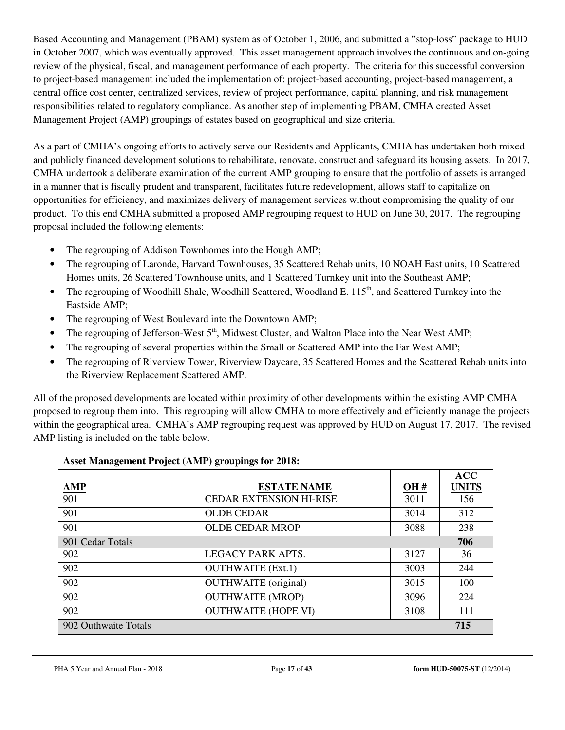Based Accounting and Management (PBAM) system as of October 1, 2006, and submitted a "stop-loss" package to HUD in October 2007, which was eventually approved. This asset management approach involves the continuous and on-going review of the physical, fiscal, and management performance of each property. The criteria for this successful conversion to project-based management included the implementation of: project-based accounting, project-based management, a central office cost center, centralized services, review of project performance, capital planning, and risk management responsibilities related to regulatory compliance. As another step of implementing PBAM, CMHA created Asset Management Project (AMP) groupings of estates based on geographical and size criteria.

As a part of CMHA's ongoing efforts to actively serve our Residents and Applicants, CMHA has undertaken both mixed and publicly financed development solutions to rehabilitate, renovate, construct and safeguard its housing assets. In 2017, CMHA undertook a deliberate examination of the current AMP grouping to ensure that the portfolio of assets is arranged in a manner that is fiscally prudent and transparent, facilitates future redevelopment, allows staff to capitalize on opportunities for efficiency, and maximizes delivery of management services without compromising the quality of our product. To this end CMHA submitted a proposed AMP regrouping request to HUD on June 30, 2017. The regrouping proposal included the following elements:

- The regrouping of Addison Townhomes into the Hough AMP;
- The regrouping of Laronde, Harvard Townhouses, 35 Scattered Rehab units, 10 NOAH East units, 10 Scattered Homes units, 26 Scattered Townhouse units, and 1 Scattered Turnkey unit into the Southeast AMP;
- The regrouping of Woodhill Shale, Woodhill Scattered, Woodland E. 115<sup>th</sup>, and Scattered Turnkey into the Eastside AMP;
- The regrouping of West Boulevard into the Downtown AMP;
- The regrouping of Jefferson-West 5<sup>th</sup>, Midwest Cluster, and Walton Place into the Near West AMP;
- The regrouping of several properties within the Small or Scattered AMP into the Far West AMP;
- The regrouping of Riverview Tower, Riverview Daycare, 35 Scattered Homes and the Scattered Rehab units into the Riverview Replacement Scattered AMP.

All of the proposed developments are located within proximity of other developments within the existing AMP CMHA proposed to regroup them into. This regrouping will allow CMHA to more effectively and efficiently manage the projects within the geographical area. CMHA's AMP regrouping request was approved by HUD on August 17, 2017. The revised AMP listing is included on the table below.

| <b>Asset Management Project (AMP) groupings for 2018:</b> |                                |      |                            |  |
|-----------------------------------------------------------|--------------------------------|------|----------------------------|--|
| <b>AMP</b>                                                | <b>ESTATE NAME</b>             | OH#  | <b>ACC</b><br><b>UNITS</b> |  |
| 901                                                       | <b>CEDAR EXTENSION HI-RISE</b> | 3011 | 156                        |  |
| 901                                                       | <b>OLDE CEDAR</b>              | 3014 | 312                        |  |
| 901                                                       | <b>OLDE CEDAR MROP</b>         | 3088 | 238                        |  |
| 901 Cedar Totals                                          |                                |      | 706                        |  |
| 902                                                       | <b>LEGACY PARK APTS.</b>       | 3127 | 36                         |  |
| 902                                                       | <b>OUTHWAITE</b> (Ext.1)       | 3003 | 244                        |  |
| 902                                                       | <b>OUTHWAITE</b> (original)    | 3015 | 100                        |  |
| 902                                                       | <b>OUTHWAITE (MROP)</b>        | 3096 | 224                        |  |
| 902                                                       | <b>OUTHWAITE (HOPE VI)</b>     | 3108 | 111                        |  |
| 902 Outhwaite Totals                                      |                                |      | 715                        |  |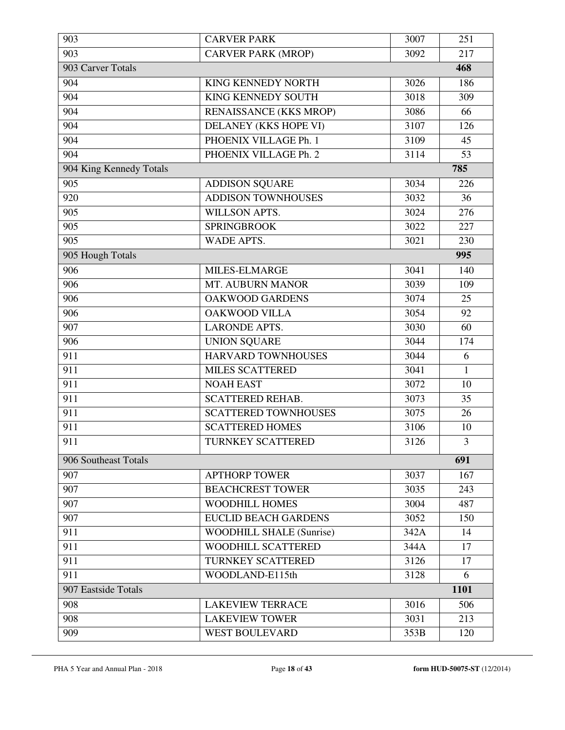| 903                     | <b>CARVER PARK</b>              | 3007 | 251          |
|-------------------------|---------------------------------|------|--------------|
| 903                     | <b>CARVER PARK (MROP)</b>       | 3092 | 217          |
| 903 Carver Totals       |                                 |      | 468          |
| 904                     | <b>KING KENNEDY NORTH</b>       | 3026 | 186          |
| 904                     | <b>KING KENNEDY SOUTH</b>       | 3018 | 309          |
| 904                     | RENAISSANCE (KKS MROP)          | 3086 | 66           |
| 904                     | DELANEY (KKS HOPE VI)           | 3107 | 126          |
| 904                     | PHOENIX VILLAGE Ph. 1           | 3109 | 45           |
| 904                     | PHOENIX VILLAGE Ph. 2           | 3114 | 53           |
| 904 King Kennedy Totals |                                 |      | 785          |
| 905                     | <b>ADDISON SQUARE</b>           | 3034 | 226          |
| 920                     | <b>ADDISON TOWNHOUSES</b>       | 3032 | 36           |
| 905                     | WILLSON APTS.                   | 3024 | 276          |
| 905                     | <b>SPRINGBROOK</b>              | 3022 | 227          |
| 905                     | <b>WADE APTS.</b>               | 3021 | 230          |
| 905 Hough Totals        |                                 |      | 995          |
| 906                     | MILES-ELMARGE                   | 3041 | 140          |
| 906                     | MT. AUBURN MANOR                | 3039 | 109          |
| 906                     | <b>OAKWOOD GARDENS</b>          | 3074 | 25           |
| 906                     | <b>OAKWOOD VILLA</b>            | 3054 | 92           |
| 907                     | <b>LARONDE APTS.</b>            | 3030 | 60           |
| 906                     | <b>UNION SQUARE</b>             | 3044 | 174          |
| 911                     | HARVARD TOWNHOUSES              | 3044 | 6            |
| 911                     | <b>MILES SCATTERED</b>          | 3041 | $\mathbf{1}$ |
| 911                     | <b>NOAH EAST</b>                | 3072 | 10           |
| 911                     | <b>SCATTERED REHAB.</b>         | 3073 | 35           |
| 911                     | <b>SCATTERED TOWNHOUSES</b>     | 3075 | 26           |
| 911                     | <b>SCATTERED HOMES</b>          | 3106 | 10           |
| 911                     | TURNKEY SCATTERED               | 3126 | 3            |
| 906 Southeast Totals    |                                 |      | 691          |
| 907                     | <b>APTHORP TOWER</b>            | 3037 | 167          |
| 907                     | <b>BEACHCREST TOWER</b>         | 3035 | 243          |
| 907                     | <b>WOODHILL HOMES</b>           | 3004 | 487          |
| 907                     | <b>EUCLID BEACH GARDENS</b>     | 3052 | 150          |
| 911                     | <b>WOODHILL SHALE (Sunrise)</b> | 342A | 14           |
| 911                     | WOODHILL SCATTERED              | 344A | 17           |
| 911                     | TURNKEY SCATTERED               | 3126 | 17           |
| 911                     | WOODLAND-E115th                 | 3128 | 6            |
| 907 Eastside Totals     |                                 |      | 1101         |
| 908                     | <b>LAKEVIEW TERRACE</b>         | 3016 | 506          |
| 908                     | <b>LAKEVIEW TOWER</b>           | 3031 | 213          |
| 909                     | <b>WEST BOULEVARD</b>           | 353B | 120          |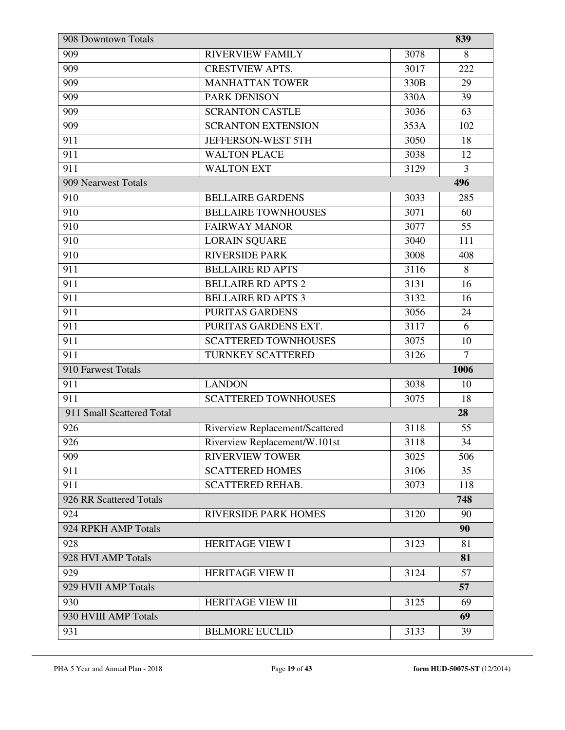| 908 Downtown Totals       |                                 |      | 839            |
|---------------------------|---------------------------------|------|----------------|
| 909                       | <b>RIVERVIEW FAMILY</b>         | 3078 | 8              |
| 909                       | <b>CRESTVIEW APTS.</b>          | 3017 | 222            |
| 909                       | <b>MANHATTAN TOWER</b>          | 330B | 29             |
| 909                       | <b>PARK DENISON</b>             | 330A | 39             |
| 909                       | <b>SCRANTON CASTLE</b>          | 3036 | 63             |
| 909                       | <b>SCRANTON EXTENSION</b>       | 353A | 102            |
| 911                       | JEFFERSON-WEST 5TH              | 3050 | 18             |
| 911                       | <b>WALTON PLACE</b>             | 3038 | 12             |
| 911                       | <b>WALTON EXT</b>               | 3129 | $\overline{3}$ |
| 909 Nearwest Totals       |                                 |      | 496            |
| 910                       | <b>BELLAIRE GARDENS</b>         | 3033 | 285            |
| 910                       | <b>BELLAIRE TOWNHOUSES</b>      | 3071 | 60             |
| 910                       | <b>FAIRWAY MANOR</b>            | 3077 | 55             |
| 910                       | <b>LORAIN SQUARE</b>            | 3040 | 111            |
| 910                       | <b>RIVERSIDE PARK</b>           | 3008 | 408            |
| 911                       | <b>BELLAIRE RD APTS</b>         | 3116 | 8              |
| 911                       | <b>BELLAIRE RD APTS 2</b>       | 3131 | 16             |
| 911                       | <b>BELLAIRE RD APTS 3</b>       | 3132 | 16             |
| 911                       | <b>PURITAS GARDENS</b>          | 3056 | 24             |
| 911                       | PURITAS GARDENS EXT.            | 3117 | 6              |
| 911                       | <b>SCATTERED TOWNHOUSES</b>     | 3075 | 10             |
| 911                       | TURNKEY SCATTERED               | 3126 | $\overline{7}$ |
| 910 Farwest Totals        |                                 |      | 1006           |
| 911                       | <b>LANDON</b>                   | 3038 | 10             |
| 911                       | <b>SCATTERED TOWNHOUSES</b>     | 3075 | 18             |
| 911 Small Scattered Total |                                 |      | 28             |
| 926                       | Riverview Replacement/Scattered | 3118 | 55             |
| 926                       | Riverview Replacement/W.101st   | 3118 | 34             |
| 909                       | <b>RIVERVIEW TOWER</b>          | 3025 | 506            |
| 911                       | <b>SCATTERED HOMES</b>          | 3106 | 35             |
| 911                       | <b>SCATTERED REHAB.</b>         | 3073 | 118            |
| 926 RR Scattered Totals   |                                 |      | 748            |
| 924                       | <b>RIVERSIDE PARK HOMES</b>     | 3120 | 90             |
| 924 RPKH AMP Totals       |                                 |      | 90             |
| 928                       | <b>HERITAGE VIEW I</b>          | 3123 | 81             |
| 928 HVI AMP Totals        |                                 |      | 81             |
| 929                       | HERITAGE VIEW II                | 3124 | 57             |
| 929 HVII AMP Totals       |                                 |      | 57             |
| 930                       | <b>HERITAGE VIEW III</b>        | 3125 | 69             |
| 930 HVIII AMP Totals      |                                 |      | 69             |
| 931                       | <b>BELMORE EUCLID</b>           | 3133 | 39             |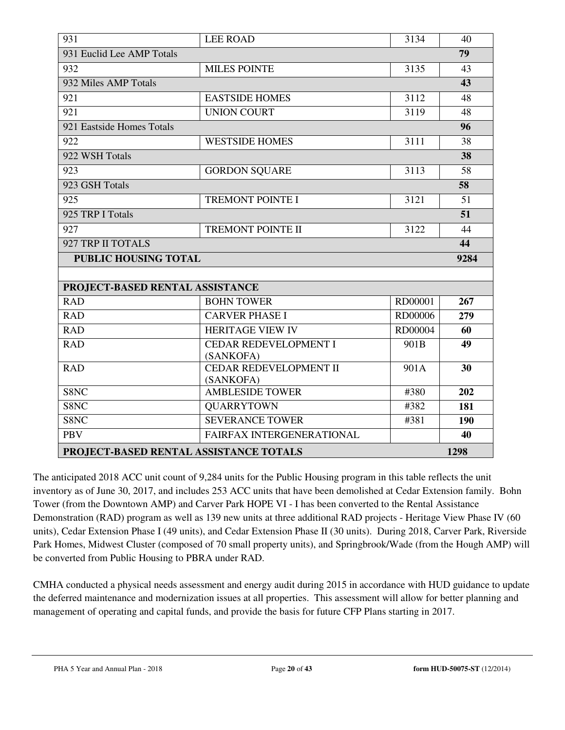|                                                | <b>LEE ROAD</b>                            |         |     |  |
|------------------------------------------------|--------------------------------------------|---------|-----|--|
| 931                                            | 3134                                       | 40      |     |  |
| 931 Euclid Lee AMP Totals                      |                                            |         | 79  |  |
| 932                                            | <b>MILES POINTE</b>                        | 3135    | 43  |  |
| 932 Miles AMP Totals                           |                                            |         | 43  |  |
| 921                                            | <b>EASTSIDE HOMES</b>                      | 3112    | 48  |  |
| 921                                            | <b>UNION COURT</b>                         | 3119    | 48  |  |
| 921 Eastside Homes Totals                      |                                            |         | 96  |  |
| 922                                            | <b>WESTSIDE HOMES</b>                      | 3111    | 38  |  |
| 922 WSH Totals                                 |                                            |         | 38  |  |
| 923                                            | <b>GORDON SQUARE</b>                       | 3113    | 58  |  |
| 923 GSH Totals                                 |                                            |         | 58  |  |
| 925                                            | <b>TREMONT POINTE I</b>                    | 3121    | 51  |  |
| 925 TRP I Totals                               |                                            |         | 51  |  |
| 927                                            | <b>TREMONT POINTE II</b>                   | 3122    | 44  |  |
| 927 TRP II TOTALS                              |                                            |         |     |  |
| <b>PUBLIC HOUSING TOTAL</b>                    |                                            |         |     |  |
|                                                |                                            |         |     |  |
|                                                | PROJECT-BASED RENTAL ASSISTANCE            |         |     |  |
| <b>RAD</b>                                     | <b>BOHN TOWER</b>                          | RD00001 | 267 |  |
| <b>RAD</b>                                     | <b>CARVER PHASE I</b>                      | RD00006 | 279 |  |
| <b>RAD</b>                                     | <b>HERITAGE VIEW IV</b>                    | RD00004 | 60  |  |
| <b>RAD</b>                                     | <b>CEDAR REDEVELOPMENT I</b>               | 901B    | 49  |  |
|                                                | (SANKOFA)                                  |         |     |  |
| <b>RAD</b>                                     | <b>CEDAR REDEVELOPMENT II</b><br>(SANKOFA) | 901A    | 30  |  |
| S8NC                                           | <b>AMBLESIDE TOWER</b>                     | #380    | 202 |  |
| S8NC                                           | <b>QUARRYTOWN</b>                          | #382    | 181 |  |
| S8NC                                           | <b>SEVERANCE TOWER</b>                     | #381    | 190 |  |
| <b>PBV</b>                                     | FAIRFAX INTERGENERATIONAL                  |         | 40  |  |
|                                                |                                            |         |     |  |
| PROJECT-BASED RENTAL ASSISTANCE TOTALS<br>1298 |                                            |         |     |  |

The anticipated 2018 ACC unit count of 9,284 units for the Public Housing program in this table reflects the unit inventory as of June 30, 2017, and includes 253 ACC units that have been demolished at Cedar Extension family. Bohn Tower (from the Downtown AMP) and Carver Park HOPE VI - I has been converted to the Rental Assistance Demonstration (RAD) program as well as 139 new units at three additional RAD projects - Heritage View Phase IV (60 units), Cedar Extension Phase I (49 units), and Cedar Extension Phase II (30 units). During 2018, Carver Park, Riverside Park Homes, Midwest Cluster (composed of 70 small property units), and Springbrook/Wade (from the Hough AMP) will be converted from Public Housing to PBRA under RAD.

CMHA conducted a physical needs assessment and energy audit during 2015 in accordance with HUD guidance to update the deferred maintenance and modernization issues at all properties. This assessment will allow for better planning and management of operating and capital funds, and provide the basis for future CFP Plans starting in 2017.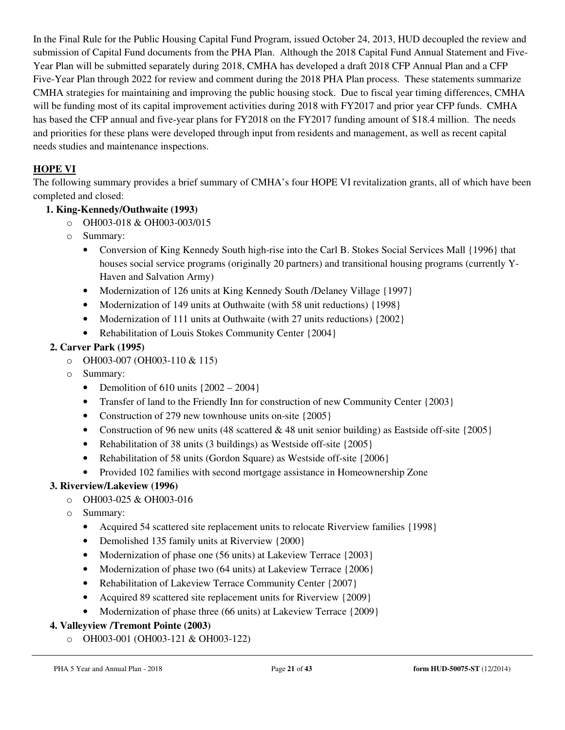In the Final Rule for the Public Housing Capital Fund Program, issued October 24, 2013, HUD decoupled the review and submission of Capital Fund documents from the PHA Plan. Although the 2018 Capital Fund Annual Statement and Five-Year Plan will be submitted separately during 2018, CMHA has developed a draft 2018 CFP Annual Plan and a CFP Five-Year Plan through 2022 for review and comment during the 2018 PHA Plan process. These statements summarize CMHA strategies for maintaining and improving the public housing stock. Due to fiscal year timing differences, CMHA will be funding most of its capital improvement activities during 2018 with FY2017 and prior year CFP funds. CMHA has based the CFP annual and five-year plans for FY2018 on the FY2017 funding amount of \$18.4 million. The needs and priorities for these plans were developed through input from residents and management, as well as recent capital needs studies and maintenance inspections.

# **HOPE VI**

The following summary provides a brief summary of CMHA's four HOPE VI revitalization grants, all of which have been completed and closed:

# **1. King-Kennedy/Outhwaite (1993)**

- o OH003-018 & OH003-003/015
- o Summary:
	- Conversion of King Kennedy South high-rise into the Carl B. Stokes Social Services Mall {1996} that houses social service programs (originally 20 partners) and transitional housing programs (currently Y-Haven and Salvation Army)
	- Modernization of 126 units at King Kennedy South */Delaney Village* {1997}
	- Modernization of 149 units at Outhwaite (with 58 unit reductions) {1998}
	- Modernization of 111 units at Outhwaite (with 27 units reductions) {2002}
	- Rehabilitation of Louis Stokes Community Center {2004}

# **2. Carver Park (1995)**

- o OH003-007 (OH003-110 & 115)
- o Summary:
	- Demolition of  $610 \text{ units } \{2002 2004\}$
	- Transfer of land to the Friendly Inn for construction of new Community Center {2003}
	- Construction of 279 new townhouse units on-site {2005}
	- Construction of 96 new units (48 scattered & 48 unit senior building) as Eastside off-site  $\{2005\}$
	- Rehabilitation of 38 units (3 buildings) as Westside off-site {2005}
	- Rehabilitation of 58 units (Gordon Square) as Westside of f-site {2006}
	- Provided 102 families with second mortgage assistance in Homeownership Zone

# **3. Riverview/Lakeview (1996)**

- o OH003-025 & OH003-016
	- o Summary:
		- Acquired 54 scattered site replacement units to relocate Riverview families {1998}
		- Demolished 135 family units at Riverview {2000}
		- Modernization of phase one (56 units) at Lakeview Terrace {2003}
		- Modernization of phase two (64 units) at Lakeview Terrace {2006}
		- Rehabilitation of Lakeview Terrace Community Center {2007}
		- Acquired 89 scattered site replacement units for Riverview {2009}
		- Modernization of phase three (66 units) at Lakeview Terrace {2009}

# **4. Valleyview /Tremont Pointe (2003)**

o OH003-001 (OH003-121 & OH003-122)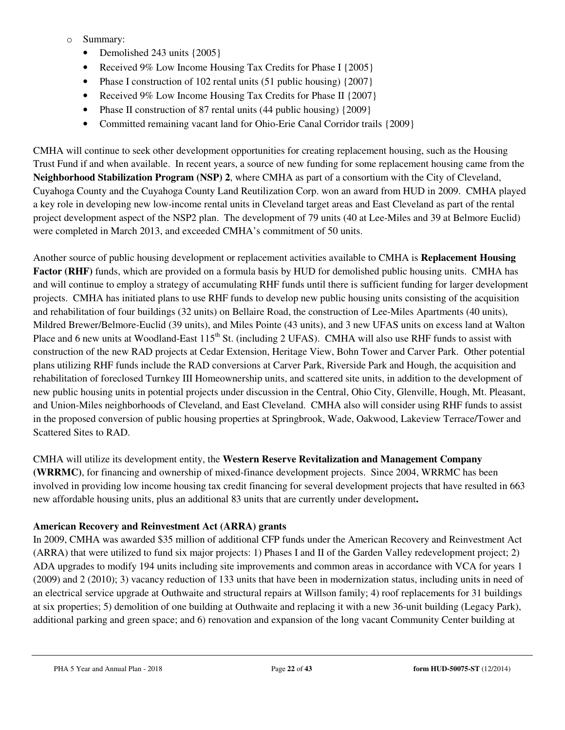- o Summary:
	- Demolished 243 units {2005}
	- Received 9% Low Income Housing Tax Credits for Phase I {2005}
	- Phase I construction of 102 rental units (51 public housing) {2007}
	- Received 9% Low Income Housing Tax Credits for Phase II {2007}
	- Phase II construction of 87 rental units  $(44 \text{ public housing}) \{2009\}$
	- Committed remaining vacant land for Ohio-Erie Canal Corridor trails {2009}

CMHA will continue to seek other development opportunities for creating replacement housing, such as the Housing Trust Fund if and when available. In recent years, a source of new funding for some replacement housing came from the **Neighborhood Stabilization Program (NSP) 2**, where CMHA as part of a consortium with the City of Cleveland, Cuyahoga County and the Cuyahoga County Land Reutilization Corp. won an award from HUD in 2009. CMHA played a key role in developing new low-income rental units in Cleveland target areas and East Cleveland as part of the rental project development aspect of the NSP2 plan. The development of 79 units (40 at Lee-Miles and 39 at Belmore Euclid) were completed in March 2013, and exceeded CMHA's commitment of 50 units.

Another source of public housing development or replacement activities available to CMHA is **Replacement Housing Factor (RHF)** funds, which are provided on a formula basis by HUD for demolished public housing units. CMHA has and will continue to employ a strategy of accumulating RHF funds until there is sufficient funding for larger development projects. CMHA has initiated plans to use RHF funds to develop new public housing units consisting of the acquisition and rehabilitation of four buildings (32 units) on Bellaire Road, the construction of Lee-Miles Apartments (40 units), Mildred Brewer/Belmore-Euclid (39 units), and Miles Pointe (43 units), and 3 new UFAS units on excess land at Walton Place and 6 new units at Woodland-East 115<sup>th</sup> St. (including 2 UFAS). CMHA will also use RHF funds to assist with construction of the new RAD projects at Cedar Extension, Heritage View, Bohn Tower and Carver Park. Other potential plans utilizing RHF funds include the RAD conversions at Carver Park, Riverside Park and Hough, the acquisition and rehabilitation of foreclosed Turnkey III Homeownership units, and scattered site units, in addition to the development of new public housing units in potential projects under discussion in the Central, Ohio City, Glenville, Hough, Mt. Pleasant, and Union-Miles neighborhoods of Cleveland, and East Cleveland. CMHA also will consider using RHF funds to assist in the proposed conversion of public housing properties at Springbrook, Wade, Oakwood, Lakeview Terrace/Tower and Scattered Sites to RAD.

CMHA will utilize its development entity, the **Western Reserve Revitalization and Management Company (WRRMC)**, for financing and ownership of mixed-finance development projects. Since 2004, WRRMC has been involved in providing low income housing tax credit financing for several development projects that have resulted in 663 new affordable housing units, plus an additional 83 units that are currently under development**.** 

#### **American Recovery and Reinvestment Act (ARRA) grants**

In 2009, CMHA was awarded \$35 million of additional CFP funds under the American Recovery and Reinvestment Act (ARRA) that were utilized to fund six major projects: 1) Phases I and II of the Garden Valley redevelopment project; 2) ADA upgrades to modify 194 units including site improvements and common areas in accordance with VCA for years 1 (2009) and 2 (2010); 3) vacancy reduction of 133 units that have been in modernization status, including units in need of an electrical service upgrade at Outhwaite and structural repairs at Willson family; 4) roof replacements for 31 buildings at six properties; 5) demolition of one building at Outhwaite and replacing it with a new 36-unit building (Legacy Park), additional parking and green space; and 6) renovation and expansion of the long vacant Community Center building at

PHA 5 Year and Annual Plan - 2018 Page **22** of **43 form HUD-50075-ST** (12/2014)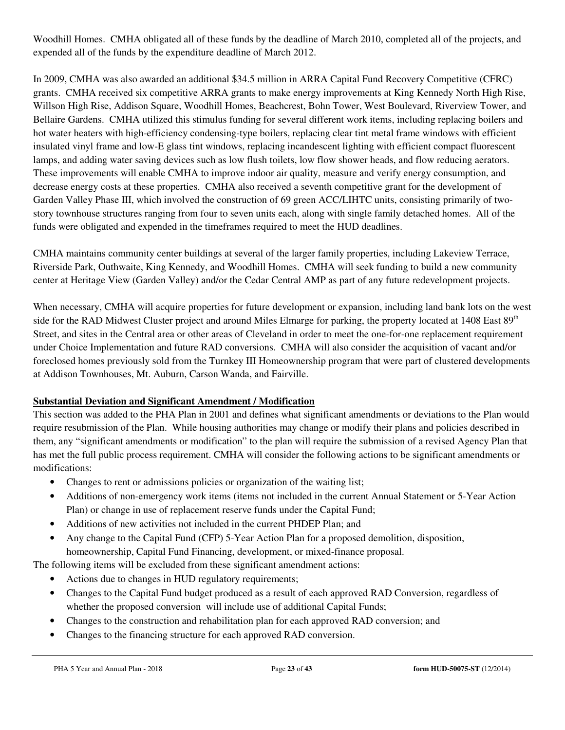Woodhill Homes. CMHA obligated all of these funds by the deadline of March 2010, completed all of the projects, and expended all of the funds by the expenditure deadline of March 2012.

In 2009, CMHA was also awarded an additional \$34.5 million in ARRA Capital Fund Recovery Competitive (CFRC) grants. CMHA received six competitive ARRA grants to make energy improvements at King Kennedy North High Rise, Willson High Rise, Addison Square, Woodhill Homes, Beachcrest, Bohn Tower, West Boulevard, Riverview Tower, and Bellaire Gardens. CMHA utilized this stimulus funding for several different work items, including replacing boilers and hot water heaters with high-efficiency condensing-type boilers, replacing clear tint metal frame windows with efficient insulated vinyl frame and low-E glass tint windows, replacing incandescent lighting with efficient compact fluorescent lamps, and adding water saving devices such as low flush toilets, low flow shower heads, and flow reducing aerators. These improvements will enable CMHA to improve indoor air quality, measure and verify energy consumption, and decrease energy costs at these properties. CMHA also received a seventh competitive grant for the development of Garden Valley Phase III, which involved the construction of 69 green ACC/LIHTC units, consisting primarily of twostory townhouse structures ranging from four to seven units each, along with single family detached homes. All of the funds were obligated and expended in the timeframes required to meet the HUD deadlines.

CMHA maintains community center buildings at several of the larger family properties, including Lakeview Terrace, Riverside Park, Outhwaite, King Kennedy, and Woodhill Homes. CMHA will seek funding to build a new community center at Heritage View (Garden Valley) and/or the Cedar Central AMP as part of any future redevelopment projects.

When necessary, CMHA will acquire properties for future development or expansion, including land bank lots on the west side for the RAD Midwest Cluster project and around Miles Elmarge for parking, the property located at  $1408$  East  $89<sup>th</sup>$ Street, and sites in the Central area or other areas of Cleveland in order to meet the one-for-one replacement requirement under Choice Implementation and future RAD conversions. CMHA will also consider the acquisition of vacant and/or foreclosed homes previously sold from the Turnkey III Homeownership program that were part of clustered developments at Addison Townhouses, Mt. Auburn, Carson Wanda, and Fairville.

# **Substantial Deviation and Significant Amendment / Modification**

This section was added to the PHA Plan in 2001 and defines what significant amendments or deviations to the Plan would require resubmission of the Plan. While housing authorities may change or modify their plans and policies described in them, any "significant amendments or modification" to the plan will require the submission of a revised Agency Plan that has met the full public process requirement. CMHA will consider the following actions to be significant amendments or modifications:

- Changes to rent or admissions policies or organization of the waiting list;
- Additions of non-emergency work items (items not included in the current Annual Statement or 5-Year Action Plan) or change in use of replacement reserve funds under the Capital Fund;
- Additions of new activities not included in the current PHDEP Plan; and
- Any change to the Capital Fund (CFP) 5-Year Action Plan for a proposed demolition, disposition, homeownership, Capital Fund Financing, development, or mixed-finance proposal.

The following items will be excluded from these significant amendment actions:

- Actions due to changes in HUD regulatory requirements;
- Changes to the Capital Fund budget produced as a result of each approved RAD Conversion, regardless of whether the proposed conversion will include use of additional Capital Funds;
- Changes to the construction and rehabilitation plan for each approved RAD conversion; and
- Changes to the financing structure for each approved RAD conversion.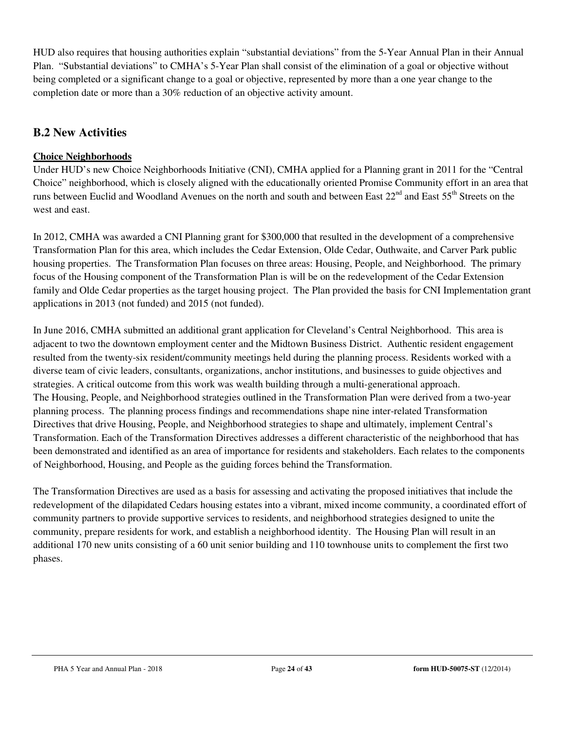HUD also requires that housing authorities explain "substantial deviations" from the 5-Year Annual Plan in their Annual Plan. "Substantial deviations" to CMHA's 5-Year Plan shall consist of the elimination of a goal or objective without being completed or a significant change to a goal or objective, represented by more than a one year change to the completion date or more than a 30% reduction of an objective activity amount.

# **B.2 New Activities**

# **Choice Neighborhoods**

Under HUD's new Choice Neighborhoods Initiative (CNI), CMHA applied for a Planning grant in 2011 for the "Central Choice" neighborhood, which is closely aligned with the educationally oriented Promise Community effort in an area that runs between Euclid and Woodland Avenues on the north and south and between East 22<sup>nd</sup> and East 55<sup>th</sup> Streets on the west and east.

In 2012, CMHA was awarded a CNI Planning grant for \$300,000 that resulted in the development of a comprehensive Transformation Plan for this area, which includes the Cedar Extension, Olde Cedar, Outhwaite, and Carver Park public housing properties. The Transformation Plan focuses on three areas: Housing, People, and Neighborhood. The primary focus of the Housing component of the Transformation Plan is will be on the redevelopment of the Cedar Extension family and Olde Cedar properties as the target housing project. The Plan provided the basis for CNI Implementation grant applications in 2013 (not funded) and 2015 (not funded).

In June 2016, CMHA submitted an additional grant application for Cleveland's Central Neighborhood. This area is adjacent to two the downtown employment center and the Midtown Business District. Authentic resident engagement resulted from the twenty-six resident/community meetings held during the planning process. Residents worked with a diverse team of civic leaders, consultants, organizations, anchor institutions, and businesses to guide objectives and strategies. A critical outcome from this work was wealth building through a multi-generational approach. The Housing, People, and Neighborhood strategies outlined in the Transformation Plan were derived from a two-year planning process. The planning process findings and recommendations shape nine inter-related Transformation Directives that drive Housing, People, and Neighborhood strategies to shape and ultimately, implement Central's Transformation. Each of the Transformation Directives addresses a different characteristic of the neighborhood that has been demonstrated and identified as an area of importance for residents and stakeholders. Each relates to the components of Neighborhood, Housing, and People as the guiding forces behind the Transformation.

The Transformation Directives are used as a basis for assessing and activating the proposed initiatives that include the redevelopment of the dilapidated Cedars housing estates into a vibrant, mixed income community, a coordinated effort of community partners to provide supportive services to residents, and neighborhood strategies designed to unite the community, prepare residents for work, and establish a neighborhood identity. The Housing Plan will result in an additional 170 new units consisting of a 60 unit senior building and 110 townhouse units to complement the first two phases.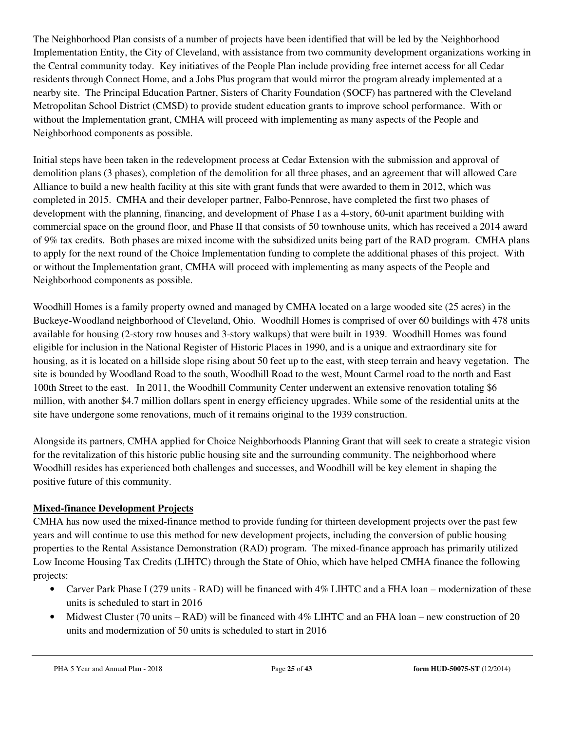The Neighborhood Plan consists of a number of projects have been identified that will be led by the Neighborhood Implementation Entity, the City of Cleveland, with assistance from two community development organizations working in the Central community today. Key initiatives of the People Plan include providing free internet access for all Cedar residents through Connect Home, and a Jobs Plus program that would mirror the program already implemented at a nearby site. The Principal Education Partner, Sisters of Charity Foundation (SOCF) has partnered with the Cleveland Metropolitan School District (CMSD) to provide student education grants to improve school performance. With or without the Implementation grant, CMHA will proceed with implementing as many aspects of the People and Neighborhood components as possible.

Initial steps have been taken in the redevelopment process at Cedar Extension with the submission and approval of demolition plans (3 phases), completion of the demolition for all three phases, and an agreement that will allowed Care Alliance to build a new health facility at this site with grant funds that were awarded to them in 2012, which was completed in 2015. CMHA and their developer partner, Falbo-Pennrose, have completed the first two phases of development with the planning, financing, and development of Phase I as a 4-story, 60-unit apartment building with commercial space on the ground floor, and Phase II that consists of 50 townhouse units, which has received a 2014 award of 9% tax credits. Both phases are mixed income with the subsidized units being part of the RAD program. CMHA plans to apply for the next round of the Choice Implementation funding to complete the additional phases of this project. With or without the Implementation grant, CMHA will proceed with implementing as many aspects of the People and Neighborhood components as possible.

Woodhill Homes is a family property owned and managed by CMHA located on a large wooded site (25 acres) in the Buckeye-Woodland neighborhood of Cleveland, Ohio. Woodhill Homes is comprised of over 60 buildings with 478 units available for housing (2-story row houses and 3-story walkups) that were built in 1939. Woodhill Homes was found eligible for inclusion in the National Register of Historic Places in 1990, and is a unique and extraordinary site for housing, as it is located on a hillside slope rising about 50 feet up to the east, with steep terrain and heavy vegetation. The site is bounded by Woodland Road to the south, Woodhill Road to the west, Mount Carmel road to the north and East 100th Street to the east. In 2011, the Woodhill Community Center underwent an extensive renovation totaling \$6 million, with another \$4.7 million dollars spent in energy efficiency upgrades. While some of the residential units at the site have undergone some renovations, much of it remains original to the 1939 construction.

Alongside its partners, CMHA applied for Choice Neighborhoods Planning Grant that will seek to create a strategic vision for the revitalization of this historic public housing site and the surrounding community. The neighborhood where Woodhill resides has experienced both challenges and successes, and Woodhill will be key element in shaping the positive future of this community.

# **Mixed-finance Development Projects**

CMHA has now used the mixed-finance method to provide funding for thirteen development projects over the past few years and will continue to use this method for new development projects, including the conversion of public housing properties to the Rental Assistance Demonstration (RAD) program. The mixed-finance approach has primarily utilized Low Income Housing Tax Credits (LIHTC) through the State of Ohio, which have helped CMHA finance the following projects:

- Carver Park Phase I (279 units RAD) will be financed with 4% LIHTC and a FHA loan modernization of these units is scheduled to start in 2016
- Midwest Cluster (70 units RAD) will be financed with 4% LIHTC and an FHA loan new construction of 20 units and modernization of 50 units is scheduled to start in 2016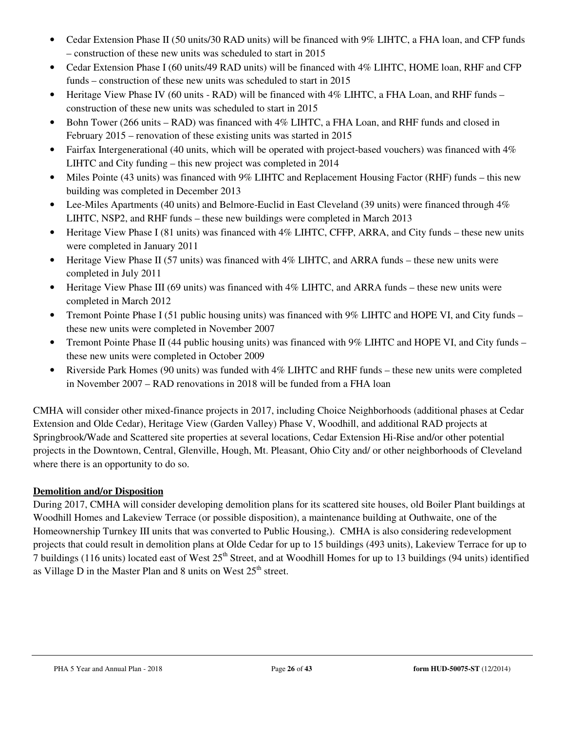- Cedar Extension Phase II (50 units/30 RAD units) will be financed with 9% LIHTC, a FHA loan, and CFP funds – construction of these new units was scheduled to start in 2015
- Cedar Extension Phase I (60 units/49 RAD units) will be financed with 4% LIHTC, HOME loan, RHF and CFP funds – construction of these new units was scheduled to start in 2015
- Heritage View Phase IV (60 units RAD) will be financed with 4% LIHTC, a FHA Loan, and RHF funds construction of these new units was scheduled to start in 2015
- Bohn Tower (266 units RAD) was financed with 4% LIHTC, a FHA Loan, and RHF funds and closed in February 2015 – renovation of these existing units was started in 2015
- Fairfax Intergenerational (40 units, which will be operated with project-based vouchers) was financed with 4% LIHTC and City funding – this new project was completed in 2014
- Miles Pointe (43 units) was financed with 9% LIHTC and Replacement Housing Factor (RHF) funds this new building was completed in December 2013
- Lee-Miles Apartments (40 units) and Belmore-Euclid in East Cleveland (39 units) were financed through 4% LIHTC, NSP2, and RHF funds – these new buildings were completed in March 2013
- Heritage View Phase I (81 units) was financed with 4% LIHTC, CFFP, ARRA, and City funds these new units were completed in January 2011
- Heritage View Phase II (57 units) was financed with  $4\%$  LIHTC, and ARRA funds these new units were completed in July 2011
- Heritage View Phase III (69 units) was financed with 4% LIHTC, and ARRA funds these new units were completed in March 2012
- Tremont Pointe Phase I (51 public housing units) was financed with 9% LIHTC and HOPE VI, and City funds these new units were completed in November 2007
- Tremont Pointe Phase II (44 public housing units) was financed with 9% LIHTC and HOPE VI, and City funds these new units were completed in October 2009
- Riverside Park Homes (90 units) was funded with 4% LIHTC and RHF funds these new units were completed in November 2007 – RAD renovations in 2018 will be funded from a FHA loan

CMHA will consider other mixed-finance projects in 2017, including Choice Neighborhoods (additional phases at Cedar Extension and Olde Cedar), Heritage View (Garden Valley) Phase V, Woodhill, and additional RAD projects at Springbrook/Wade and Scattered site properties at several locations, Cedar Extension Hi-Rise and/or other potential projects in the Downtown, Central, Glenville, Hough, Mt. Pleasant, Ohio City and/ or other neighborhoods of Cleveland where there is an opportunity to do so.

# **Demolition and/or Disposition**

During 2017, CMHA will consider developing demolition plans for its scattered site houses, old Boiler Plant buildings at Woodhill Homes and Lakeview Terrace (or possible disposition), a maintenance building at Outhwaite, one of the Homeownership Turnkey III units that was converted to Public Housing,). CMHA is also considering redevelopment projects that could result in demolition plans at Olde Cedar for up to 15 buildings (493 units), Lakeview Terrace for up to 7 buildings (116 units) located east of West 25<sup>th</sup> Street, and at Woodhill Homes for up to 13 buildings (94 units) identified as Village D in the Master Plan and 8 units on West  $25<sup>th</sup>$  street.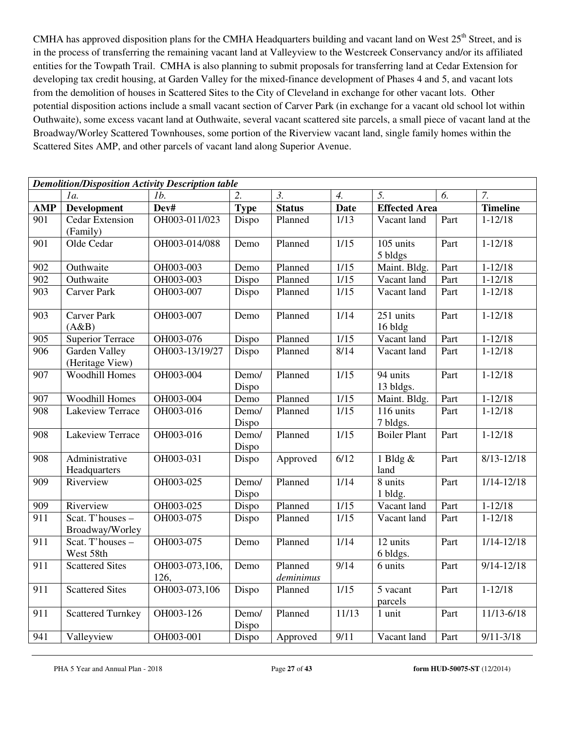CMHA has approved disposition plans for the CMHA Headquarters building and vacant land on West  $25<sup>th</sup>$  Street, and is in the process of transferring the remaining vacant land at Valleyview to the Westcreek Conservancy and/or its affiliated entities for the Towpath Trail. CMHA is also planning to submit proposals for transferring land at Cedar Extension for developing tax credit housing, at Garden Valley for the mixed-finance development of Phases 4 and 5, and vacant lots from the demolition of houses in Scattered Sites to the City of Cleveland in exchange for other vacant lots. Other potential disposition actions include a small vacant section of Carver Park (in exchange for a vacant old school lot within Outhwaite), some excess vacant land at Outhwaite, several vacant scattered site parcels, a small piece of vacant land at the Broadway/Worley Scattered Townhouses, some portion of the Riverview vacant land, single family homes within the Scattered Sites AMP, and other parcels of vacant land along Superior Avenue.

|                  | <b>Demolition/Disposition Activity Description table</b> |                        |                |                      |                  |                       |      |                 |
|------------------|----------------------------------------------------------|------------------------|----------------|----------------------|------------------|-----------------------|------|-----------------|
|                  | 1a.                                                      | 1b.                    |                | $\mathfrak{Z}$ .     | $\overline{4}$ . | 5.                    | 6.   | 7.              |
| <b>AMP</b>       | <b>Development</b>                                       | Dev#                   | <b>Type</b>    | <b>Status</b>        | <b>Date</b>      | <b>Effected Area</b>  |      | <b>Timeline</b> |
| 901              | Cedar Extension<br>(Family)                              | OH003-011/023          | Dispo          | Planned              | 1/13             | Vacant land           | Part | $1 - 12/18$     |
| 901              | Olde Cedar                                               | OH003-014/088          | Demo           | Planned              | 1/15             | 105 units<br>5 bldgs  | Part | $1 - 12/18$     |
| 902              | Outhwaite                                                | OH003-003              | Demo           | Planned              | 1/15             | Maint. Bldg.          | Part | $1 - 12/18$     |
| 902              | Outhwaite                                                | OH003-003              | Dispo          | Planned              | 1/15             | Vacant land           | Part | $1 - 12/18$     |
| 903              | <b>Carver Park</b>                                       | OH003-007              | Dispo          | Planned              | 1/15             | Vacant land           | Part | $1 - 12/18$     |
| 903              | <b>Carver Park</b><br>(A&B)                              | OH003-007              | Demo           | Planned              | 1/14             | 251 units<br>16 bldg  | Part | $1 - 12/18$     |
| 905              | <b>Superior Terrace</b>                                  | OH003-076              | Dispo          | Planned              | 1/15             | Vacant land           | Part | $1 - 12/18$     |
| $\overline{906}$ | <b>Garden Valley</b><br>(Heritage View)                  | OH003-13/19/27         | Dispo          | Planned              | 8/14             | Vacant land           | Part | $1 - 12/18$     |
| 907              | <b>Woodhill Homes</b>                                    | OH003-004              | Demo/<br>Dispo | Planned              | 1/15             | 94 units<br>13 bldgs. | Part | $1 - 12/18$     |
| 907              | <b>Woodhill Homes</b>                                    | OH003-004              | Demo           | Planned              | 1/15             | Maint. Bldg.          | Part | $1 - 12/18$     |
| 908              | Lakeview Terrace                                         | OH003-016              | Demo/<br>Dispo | Planned              | 1/15             | 116 units<br>7 bldgs. | Part | $1 - 12/18$     |
| 908              | Lakeview Terrace                                         | OH003-016              | Demo/<br>Dispo | Planned              | 1/15             | <b>Boiler Plant</b>   | Part | $1 - 12/18$     |
| 908              | Administrative<br>Headquarters                           | OH003-031              | Dispo          | Approved             | 6/12             | 1 Bldg &<br>land      | Part | $8/13 - 12/18$  |
| 909              | Riverview                                                | OH003-025              | Demo/<br>Dispo | Planned              | 1/14             | 8 units<br>1 bldg.    | Part | $1/14 - 12/18$  |
| 909              | Riverview                                                | OH003-025              | Dispo          | Planned              | 1/15             | Vacant land           | Part | $1 - 12/18$     |
| $\overline{911}$ | Scat. T'houses -<br>Broadway/Worley                      | OH003-075              | Dispo          | Planned              | 1/15             | Vacant land           | Part | $1 - 12/18$     |
| 911              | Scat. T'houses -<br>West 58th                            | OH003-075              | Demo           | Planned              | 1/14             | 12 units<br>6 bldgs.  | Part | $1/14 - 12/18$  |
| 911              | <b>Scattered Sites</b>                                   | OH003-073,106,<br>126, | Demo           | Planned<br>deminimus | 9/14             | 6 units               | Part | $9/14 - 12/18$  |
| 911              | <b>Scattered Sites</b>                                   | OH003-073,106          | Dispo          | Planned              | 1/15             | 5 vacant<br>parcels   | Part | $1 - 12/18$     |
| 911              | <b>Scattered Turnkey</b>                                 | OH003-126              | Demo/<br>Dispo | Planned              | 11/13            | 1 unit                | Part | $11/13 - 6/18$  |
| 941              | Valleyview                                               | OH003-001              | Dispo          | Approved             | 9/11             | Vacant land           | Part | $9/11 - 3/18$   |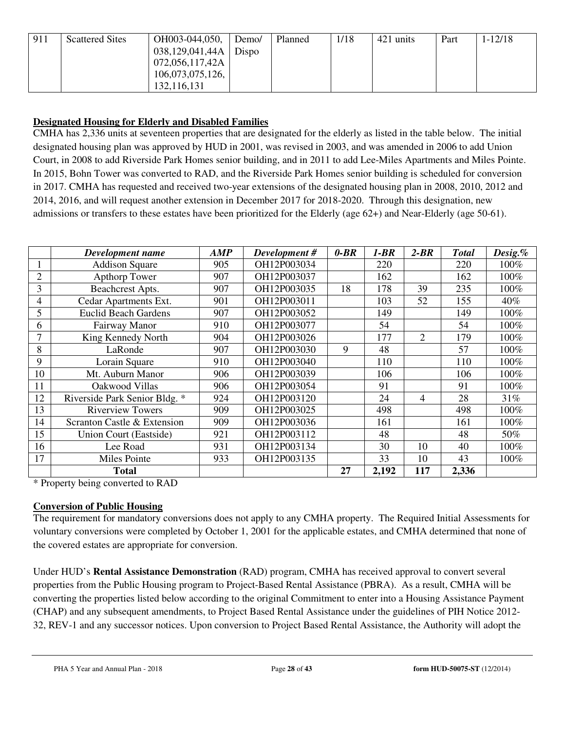| 911 | <b>Scattered Sites</b> | OH003-044,050,   | Demo/ | Planned | 1/18 | 421 units | Part | $1 - 12/18$ |
|-----|------------------------|------------------|-------|---------|------|-----------|------|-------------|
|     |                        | 038,129,041,44A  | Dispo |         |      |           |      |             |
|     |                        | 072,056,117,42A  |       |         |      |           |      |             |
|     |                        | 106,073,075,126, |       |         |      |           |      |             |
|     |                        | 132,116,131      |       |         |      |           |      |             |

# **Designated Housing for Elderly and Disabled Families**

CMHA has 2,336 units at seventeen properties that are designated for the elderly as listed in the table below. The initial designated housing plan was approved by HUD in 2001, was revised in 2003, and was amended in 2006 to add Union Court, in 2008 to add Riverside Park Homes senior building, and in 2011 to add Lee-Miles Apartments and Miles Pointe. In 2015, Bohn Tower was converted to RAD, and the Riverside Park Homes senior building is scheduled for conversion in 2017. CMHA has requested and received two-year extensions of the designated housing plan in 2008, 2010, 2012 and 2014, 2016, and will request another extension in December 2017 for 2018-2020. Through this designation, new admissions or transfers to these estates have been prioritized for the Elderly (age 62+) and Near-Elderly (age 50-61).

|                | Development name              | AMP | Development# | $0-BR$ | 1-BR  | $2-BR$ | <b>Total</b> | Desig.% |
|----------------|-------------------------------|-----|--------------|--------|-------|--------|--------------|---------|
|                | <b>Addison Square</b>         | 905 | OH12P003034  |        | 220   |        | 220          | 100%    |
| $\overline{2}$ | <b>Apthorp Tower</b>          | 907 | OH12P003037  |        | 162   |        | 162          | 100%    |
| 3              | Beachcrest Apts.              | 907 | OH12P003035  | 18     | 178   | 39     | 235          | 100%    |
| 4              | Cedar Apartments Ext.         | 901 | OH12P003011  |        | 103   | 52     | 155          | 40%     |
| 5              | <b>Euclid Beach Gardens</b>   | 907 | OH12P003052  |        | 149   |        | 149          | 100%    |
| 6              | Fairway Manor                 | 910 | OH12P003077  |        | 54    |        | 54           | 100%    |
| 7              | King Kennedy North            | 904 | OH12P003026  |        | 177   | 2      | 179          | 100%    |
| 8              | LaRonde                       | 907 | OH12P003030  | 9      | 48    |        | 57           | 100%    |
| 9              | Lorain Square                 | 910 | OH12P003040  |        | 110   |        | 110          | 100%    |
| 10             | Mt. Auburn Manor              | 906 | OH12P003039  |        | 106   |        | 106          | 100%    |
| 11             | Oakwood Villas                | 906 | OH12P003054  |        | 91    |        | 91           | 100%    |
| 12             | Riverside Park Senior Bldg. * | 924 | OH12P003120  |        | 24    | 4      | 28           | 31%     |
| 13             | <b>Riverview Towers</b>       | 909 | OH12P003025  |        | 498   |        | 498          | 100%    |
| 14             | Scranton Castle & Extension   | 909 | OH12P003036  |        | 161   |        | 161          | 100%    |
| 15             | Union Court (Eastside)        | 921 | OH12P003112  |        | 48    |        | 48           | 50%     |
| 16             | Lee Road                      | 931 | OH12P003134  |        | 30    | 10     | 40           | $100\%$ |
| 17             | Miles Pointe                  | 933 | OH12P003135  |        | 33    | 10     | 43           | $100\%$ |
|                | <b>Total</b>                  |     |              | 27     | 2,192 | 117    | 2,336        |         |

\* Property being converted to RAD

#### **Conversion of Public Housing**

The requirement for mandatory conversions does not apply to any CMHA property. The Required Initial Assessments for voluntary conversions were completed by October 1, 2001 for the applicable estates, and CMHA determined that none of the covered estates are appropriate for conversion.

Under HUD's **Rental Assistance Demonstration** (RAD) program, CMHA has received approval to convert several properties from the Public Housing program to Project-Based Rental Assistance (PBRA). As a result, CMHA will be converting the properties listed below according to the original Commitment to enter into a Housing Assistance Payment (CHAP) and any subsequent amendments, to Project Based Rental Assistance under the guidelines of PIH Notice 2012- 32, REV-1 and any successor notices. Upon conversion to Project Based Rental Assistance, the Authority will adopt the

PHA 5 Year and Annual Plan - 2018 Page **28** of **43 form HUD-50075-ST** (12/2014)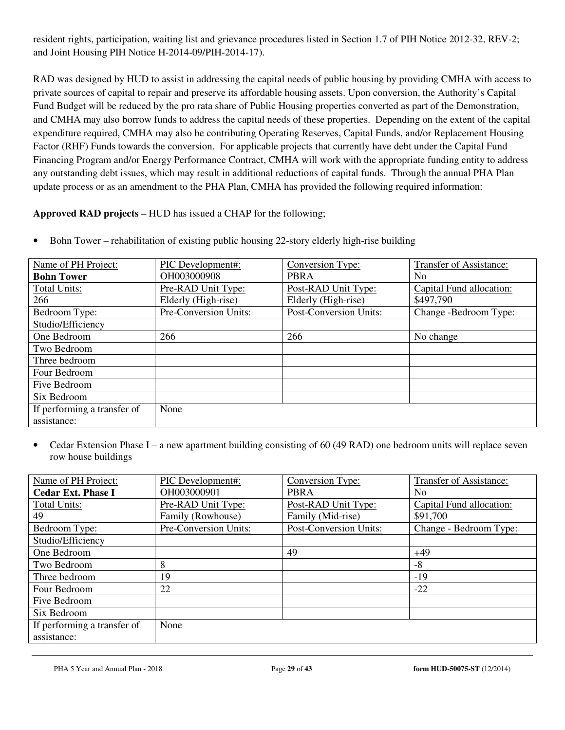resident rights, participation, waiting list and grievance procedures listed in Section 1.7 of PIH Notice 2012-32, REV-2; and Joint Housing PIH Notice H-2014-09/PIH-2014-17).

RAD was designed by HUD to assist in addressing the capital needs of public housing by providing CMHA with access to private sources of capital to repair and preserve its affordable housing assets. Upon conversion, the Authority's Capital Fund Budget will be reduced by the pro rata share of Public Housing properties converted as part of the Demonstration, and CMHA may also borrow funds to address the capital needs of these properties. Depending on the extent of the capital expenditure required, CMHA may also be contributing Operating Reserves, Capital Funds, and/or Replacement Housing Factor (RHF) Funds towards the conversion. For applicable projects that currently have debt under the Capital Fund Financing Program and/or Energy Performance Contract, CMHA will work with the appropriate funding entity to address any outstanding debt issues, which may result in additional reductions of capital funds. Through the annual PHA Plan update process or as an amendment to the PHA Plan, CMHA has provided the following required information:

**Approved RAD projects** – HUD has issued a CHAP for the following;

| Name of PH Project:         | PIC Development#:     | Conversion Type:       | Transfer of Assistance:  |
|-----------------------------|-----------------------|------------------------|--------------------------|
| <b>Bohn Tower</b>           | OH003000908           | <b>PBRA</b>            | N <sub>0</sub>           |
| <b>Total Units:</b>         | Pre-RAD Unit Type:    | Post-RAD Unit Type:    | Capital Fund allocation: |
| 266                         | Elderly (High-rise)   | Elderly (High-rise)    | \$497,790                |
| Bedroom Type:               | Pre-Conversion Units: | Post-Conversion Units: | Change -Bedroom Type:    |
| Studio/Efficiency           |                       |                        |                          |
| One Bedroom                 | 266                   | 266                    | No change                |
| Two Bedroom                 |                       |                        |                          |
| Three bedroom               |                       |                        |                          |
| Four Bedroom                |                       |                        |                          |
| Five Bedroom                |                       |                        |                          |
| Six Bedroom                 |                       |                        |                          |
| If performing a transfer of | None                  |                        |                          |
| assistance:                 |                       |                        |                          |

• Bohn Tower – rehabilitation of existing public housing 22-story elderly high-rise building

• Cedar Extension Phase I – a new apartment building consisting of 60 (49 RAD) one bedroom units will replace seven row house buildings

| Name of PH Project:         | PIC Development#:     | Conversion Type:              | Transfer of Assistance:  |
|-----------------------------|-----------------------|-------------------------------|--------------------------|
| <b>Cedar Ext. Phase I</b>   | OH003000901           | <b>PBRA</b>                   | N <sub>0</sub>           |
| <b>Total Units:</b>         | Pre-RAD Unit Type:    | Post-RAD Unit Type:           | Capital Fund allocation: |
| 49                          | Family (Rowhouse)     | Family (Mid-rise)             | \$91,700                 |
| Bedroom Type:               | Pre-Conversion Units: | <b>Post-Conversion Units:</b> | Change - Bedroom Type:   |
| Studio/Efficiency           |                       |                               |                          |
| One Bedroom                 |                       | 49                            | $+49$                    |
| Two Bedroom                 | 8                     |                               | -8                       |
| Three bedroom               | 19                    |                               | $-19$                    |
| Four Bedroom                | 22                    |                               | $-22$                    |
| Five Bedroom                |                       |                               |                          |
| Six Bedroom                 |                       |                               |                          |
| If performing a transfer of | None                  |                               |                          |
| assistance:                 |                       |                               |                          |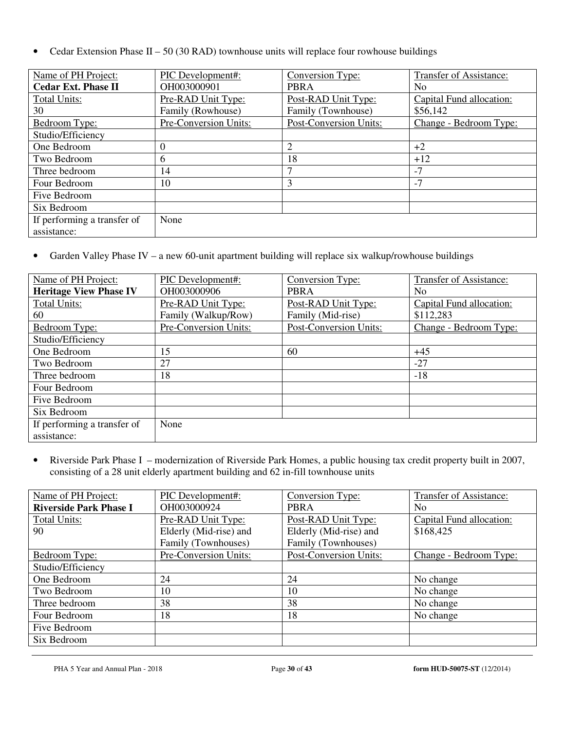• Cedar Extension Phase II – 50 (30 RAD) townhouse units will replace four rowhouse buildings

| Name of PH Project:         | PIC Development#:     | Conversion Type:              | Transfer of Assistance:  |
|-----------------------------|-----------------------|-------------------------------|--------------------------|
| <b>Cedar Ext. Phase II</b>  | OH003000901           | <b>PBRA</b>                   | No.                      |
| <b>Total Units:</b>         | Pre-RAD Unit Type:    | Post-RAD Unit Type:           | Capital Fund allocation: |
| 30                          | Family (Rowhouse)     | Family (Townhouse)            | \$56,142                 |
| Bedroom Type:               | Pre-Conversion Units: | <b>Post-Conversion Units:</b> | Change - Bedroom Type:   |
| Studio/Efficiency           |                       |                               |                          |
| One Bedroom                 |                       | $\overline{2}$                | $+2$                     |
| Two Bedroom                 | 6                     | 18                            | $+12$                    |
| Three bedroom               | 14                    | 7                             | $-7$                     |
| Four Bedroom                | 10                    | 3                             | $-7$                     |
| Five Bedroom                |                       |                               |                          |
| Six Bedroom                 |                       |                               |                          |
| If performing a transfer of | None                  |                               |                          |
| assistance:                 |                       |                               |                          |

• Garden Valley Phase IV – a new 60-unit apartment building will replace six walkup/rowhouse buildings

| Name of PH Project:           | <b>PIC</b> Development#: | Conversion Type:       | <b>Transfer of Assistance:</b> |
|-------------------------------|--------------------------|------------------------|--------------------------------|
| <b>Heritage View Phase IV</b> | OH003000906              | <b>PBRA</b>            | N <sub>0</sub>                 |
| <b>Total Units:</b>           | Pre-RAD Unit Type:       | Post-RAD Unit Type:    | Capital Fund allocation:       |
| 60                            | Family (Walkup/Row)      | Family (Mid-rise)      | \$112,283                      |
| Bedroom Type:                 | Pre-Conversion Units:    | Post-Conversion Units: | Change - Bedroom Type:         |
| Studio/Efficiency             |                          |                        |                                |
| One Bedroom                   | 15                       | 60                     | $+45$                          |
| Two Bedroom                   | 27                       |                        | $-27$                          |
| Three bedroom                 | 18                       |                        | $-18$                          |
| Four Bedroom                  |                          |                        |                                |
| Five Bedroom                  |                          |                        |                                |
| Six Bedroom                   |                          |                        |                                |
| If performing a transfer of   | None                     |                        |                                |
| assistance:                   |                          |                        |                                |

• Riverside Park Phase I – modernization of Riverside Park Homes, a public housing tax credit property built in 2007, consisting of a 28 unit elderly apartment building and 62 in-fill townhouse units

| Name of PH Project:           | PIC Development#:      | Conversion Type:       | Transfer of Assistance:  |  |
|-------------------------------|------------------------|------------------------|--------------------------|--|
| <b>Riverside Park Phase I</b> | OH003000924            | <b>PBRA</b>            | No.                      |  |
| <b>Total Units:</b>           | Pre-RAD Unit Type:     | Post-RAD Unit Type:    | Capital Fund allocation: |  |
| 90                            | Elderly (Mid-rise) and | Elderly (Mid-rise) and | \$168,425                |  |
|                               | Family (Townhouses)    | Family (Townhouses)    |                          |  |
| Bedroom Type:                 | Pre-Conversion Units:  | Post-Conversion Units: | Change - Bedroom Type:   |  |
| Studio/Efficiency             |                        |                        |                          |  |
| One Bedroom                   | 24                     | 24                     | No change                |  |
| Two Bedroom                   | 10                     | 10                     | No change                |  |
| Three bedroom                 | 38                     | 38                     | No change                |  |
| Four Bedroom                  | 18                     | 18                     | No change                |  |
| Five Bedroom                  |                        |                        |                          |  |
| Six Bedroom                   |                        |                        |                          |  |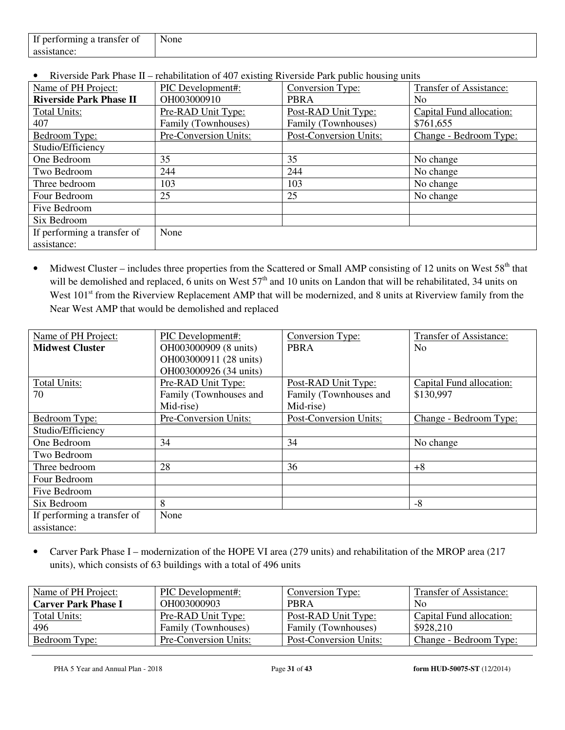| If<br>ranster of<br>ner<br>.10rming<br>$\epsilon$<br><br>. . | - -<br>None |
|--------------------------------------------------------------|-------------|
| ass<br>''ICC.                                                |             |

• Riverside Park Phase II – rehabilitation of 407 existing Riverside Park public housing units

| Name of PH Project:            | PIC Development#:     | Conversion Type:              | Transfer of Assistance:  |  |
|--------------------------------|-----------------------|-------------------------------|--------------------------|--|
| <b>Riverside Park Phase II</b> | OH003000910           | <b>PBRA</b>                   | No.                      |  |
| <b>Total Units:</b>            | Pre-RAD Unit Type:    | Post-RAD Unit Type:           | Capital Fund allocation: |  |
| 407                            | Family (Townhouses)   | Family (Townhouses)           | \$761,655                |  |
| Bedroom Type:                  | Pre-Conversion Units: | <b>Post-Conversion Units:</b> | Change - Bedroom Type:   |  |
| Studio/Efficiency              |                       |                               |                          |  |
| One Bedroom                    | 35                    | 35                            | No change                |  |
| Two Bedroom                    | 244                   | 244                           | No change                |  |
| Three bedroom                  | 103                   | 103                           | No change                |  |
| Four Bedroom                   | 25                    | 25                            | No change                |  |
| Five Bedroom                   |                       |                               |                          |  |
| Six Bedroom                    |                       |                               |                          |  |
| If performing a transfer of    | None                  |                               |                          |  |
| assistance:                    |                       |                               |                          |  |

• Midwest Cluster – includes three properties from the Scattered or Small AMP consisting of 12 units on West 58<sup>th</sup> that will be demolished and replaced, 6 units on West  $57<sup>th</sup>$  and 10 units on Landon that will be rehabilitated, 34 units on West 101<sup>st</sup> from the Riverview Replacement AMP that will be modernized, and 8 units at Riverview family from the Near West AMP that would be demolished and replaced

| Name of PH Project:         | PIC Development#:      | Conversion Type:       | Transfer of Assistance:  |
|-----------------------------|------------------------|------------------------|--------------------------|
| <b>Midwest Cluster</b>      | OH003000909 (8 units)  | <b>PBRA</b>            | No.                      |
|                             | OH003000911 (28 units) |                        |                          |
|                             | OH003000926 (34 units) |                        |                          |
| <b>Total Units:</b>         | Pre-RAD Unit Type:     | Post-RAD Unit Type:    | Capital Fund allocation: |
| 70                          | Family (Townhouses and | Family (Townhouses and | \$130,997                |
|                             | Mid-rise)              | Mid-rise)              |                          |
| Bedroom Type:               | Pre-Conversion Units:  | Post-Conversion Units: | Change - Bedroom Type:   |
| Studio/Efficiency           |                        |                        |                          |
| One Bedroom                 | 34                     | 34                     | No change                |
| Two Bedroom                 |                        |                        |                          |
| Three bedroom               | 28                     | 36                     | $+8$                     |
| Four Bedroom                |                        |                        |                          |
| Five Bedroom                |                        |                        |                          |
| Six Bedroom                 | 8                      |                        | $-8$                     |
| If performing a transfer of | None                   |                        |                          |
| assistance:                 |                        |                        |                          |

• Carver Park Phase I – modernization of the HOPE VI area (279 units) and rehabilitation of the MROP area (217 units), which consists of 63 buildings with a total of 496 units

| Name of PH Project:        | PIC Development#:     | Conversion Type:       | Transfer of Assistance:  |
|----------------------------|-----------------------|------------------------|--------------------------|
| <b>Carver Park Phase I</b> | OH003000903           | <b>PBRA</b>            | N <sub>0</sub>           |
| Total Units:               | Pre-RAD Unit Type:    | Post-RAD Unit Type:    | Capital Fund allocation: |
| 496                        | Family (Townhouses)   | Family (Townhouses)    | \$928,210                |
| Bedroom Type:              | Pre-Conversion Units: | Post-Conversion Units: | Change - Bedroom Type:   |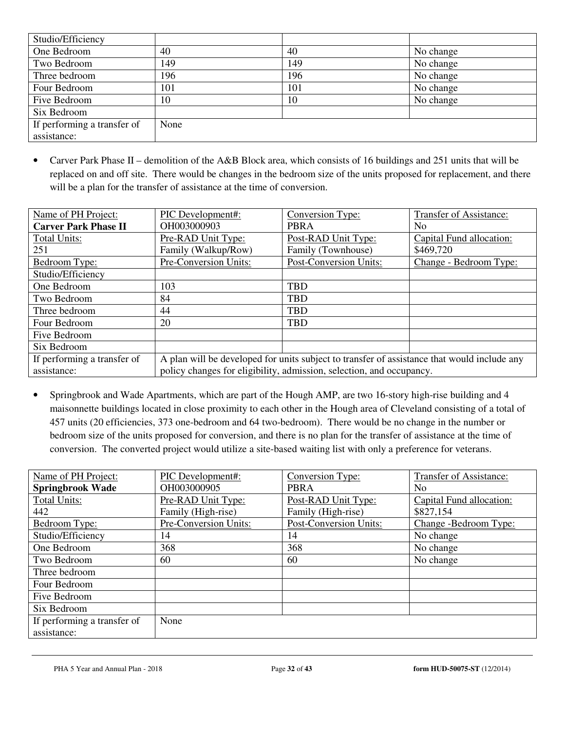| Studio/Efficiency           |      |     |           |
|-----------------------------|------|-----|-----------|
| One Bedroom                 | 40   | 40  | No change |
| Two Bedroom                 | 149  | 149 | No change |
| Three bedroom               | 196  | 196 | No change |
| Four Bedroom                | 101  | 101 | No change |
| Five Bedroom                | 10   | 10  | No change |
| Six Bedroom                 |      |     |           |
| If performing a transfer of | None |     |           |
| assistance:                 |      |     |           |

• Carver Park Phase II – demolition of the A&B Block area, which consists of 16 buildings and 251 units that will be replaced on and off site. There would be changes in the bedroom size of the units proposed for replacement, and there will be a plan for the transfer of assistance at the time of conversion.

| Name of PH Project:         | PIC Development#:                                                                           | Conversion Type:                                                     | <b>Transfer of Assistance:</b> |  |  |
|-----------------------------|---------------------------------------------------------------------------------------------|----------------------------------------------------------------------|--------------------------------|--|--|
| <b>Carver Park Phase II</b> | OH003000903                                                                                 | <b>PBRA</b>                                                          | No.                            |  |  |
| <b>Total Units:</b>         | Pre-RAD Unit Type:                                                                          | Post-RAD Unit Type:                                                  | Capital Fund allocation:       |  |  |
| 251                         | Family (Walkup/Row)                                                                         | Family (Townhouse)                                                   | \$469,720                      |  |  |
| Bedroom Type:               | Pre-Conversion Units:                                                                       | <b>Post-Conversion Units:</b>                                        | Change - Bedroom Type:         |  |  |
| Studio/Efficiency           |                                                                                             |                                                                      |                                |  |  |
| One Bedroom                 | 103                                                                                         | <b>TBD</b>                                                           |                                |  |  |
| Two Bedroom                 | 84                                                                                          | <b>TBD</b>                                                           |                                |  |  |
| Three bedroom               | 44                                                                                          | <b>TBD</b>                                                           |                                |  |  |
| Four Bedroom                | 20                                                                                          | <b>TBD</b>                                                           |                                |  |  |
| Five Bedroom                |                                                                                             |                                                                      |                                |  |  |
| Six Bedroom                 |                                                                                             |                                                                      |                                |  |  |
| If performing a transfer of | A plan will be developed for units subject to transfer of assistance that would include any |                                                                      |                                |  |  |
| assistance:                 |                                                                                             | policy changes for eligibility, admission, selection, and occupancy. |                                |  |  |

• Springbrook and Wade Apartments, which are part of the Hough AMP, are two 16-story high-rise building and 4 maisonnette buildings located in close proximity to each other in the Hough area of Cleveland consisting of a total of 457 units (20 efficiencies, 373 one-bedroom and 64 two-bedroom). There would be no change in the number or bedroom size of the units proposed for conversion, and there is no plan for the transfer of assistance at the time of conversion. The converted project would utilize a site-based waiting list with only a preference for veterans.

| Name of PH Project:         | PIC Development#:     | Conversion Type:       | <b>Transfer of Assistance:</b> |
|-----------------------------|-----------------------|------------------------|--------------------------------|
| <b>Springbrook Wade</b>     | OH003000905           | <b>PBRA</b>            | No.                            |
| <b>Total Units:</b>         | Pre-RAD Unit Type:    | Post-RAD Unit Type:    | Capital Fund allocation:       |
| 442                         | Family (High-rise)    | Family (High-rise)     | \$827,154                      |
| Bedroom Type:               | Pre-Conversion Units: | Post-Conversion Units: | Change -Bedroom Type:          |
| Studio/Efficiency           | 14                    | 14                     | No change                      |
| One Bedroom                 | 368                   | 368                    | No change                      |
| Two Bedroom                 | 60                    | 60                     | No change                      |
| Three bedroom               |                       |                        |                                |
| Four Bedroom                |                       |                        |                                |
| Five Bedroom                |                       |                        |                                |
| Six Bedroom                 |                       |                        |                                |
| If performing a transfer of | None                  |                        |                                |
| assistance:                 |                       |                        |                                |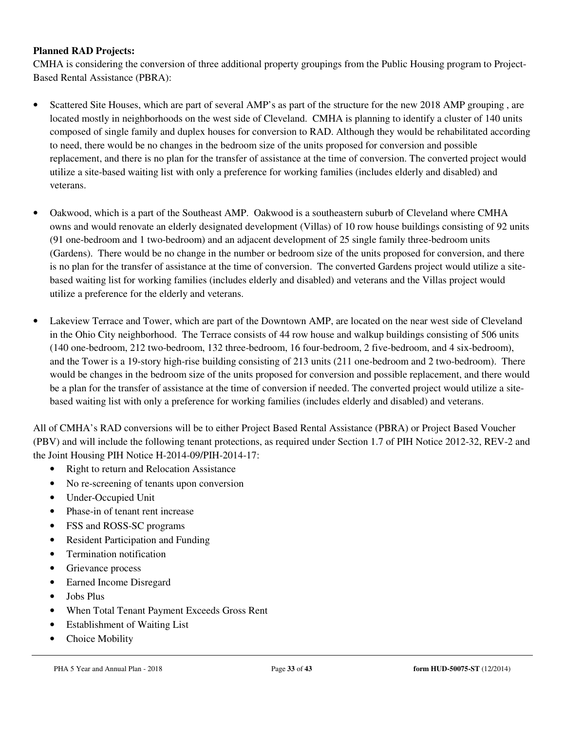#### **Planned RAD Projects:**

CMHA is considering the conversion of three additional property groupings from the Public Housing program to Project-Based Rental Assistance (PBRA):

- Scattered Site Houses, which are part of several AMP's as part of the structure for the new 2018 AMP grouping, are located mostly in neighborhoods on the west side of Cleveland. CMHA is planning to identify a cluster of 140 units composed of single family and duplex houses for conversion to RAD. Although they would be rehabilitated according to need, there would be no changes in the bedroom size of the units proposed for conversion and possible replacement, and there is no plan for the transfer of assistance at the time of conversion. The converted project would utilize a site-based waiting list with only a preference for working families (includes elderly and disabled) and veterans.
- Oakwood, which is a part of the Southeast AMP. Oakwood is a southeastern suburb of Cleveland where CMHA owns and would renovate an elderly designated development (Villas) of 10 row house buildings consisting of 92 units (91 one-bedroom and 1 two-bedroom) and an adjacent development of 25 single family three-bedroom units (Gardens). There would be no change in the number or bedroom size of the units proposed for conversion, and there is no plan for the transfer of assistance at the time of conversion. The converted Gardens project would utilize a sitebased waiting list for working families (includes elderly and disabled) and veterans and the Villas project would utilize a preference for the elderly and veterans.
- Lakeview Terrace and Tower, which are part of the Downtown AMP, are located on the near west side of Cleveland in the Ohio City neighborhood. The Terrace consists of 44 row house and walkup buildings consisting of 506 units (140 one-bedroom, 212 two-bedroom, 132 three-bedroom, 16 four-bedroom, 2 five-bedroom, and 4 six-bedroom), and the Tower is a 19-story high-rise building consisting of 213 units (211 one-bedroom and 2 two-bedroom). There would be changes in the bedroom size of the units proposed for conversion and possible replacement, and there would be a plan for the transfer of assistance at the time of conversion if needed. The converted project would utilize a sitebased waiting list with only a preference for working families (includes elderly and disabled) and veterans.

All of CMHA's RAD conversions will be to either Project Based Rental Assistance (PBRA) or Project Based Voucher (PBV) and will include the following tenant protections, as required under Section 1.7 of PIH Notice 2012-32, REV-2 and the Joint Housing PIH Notice H-2014-09/PIH-2014-17:

- Right to return and Relocation Assistance
- No re-screening of tenants upon conversion
- Under-Occupied Unit
- Phase-in of tenant rent increase
- FSS and ROSS-SC programs
- Resident Participation and Funding
- Termination notification
- Grievance process
- Earned Income Disregard
- Jobs Plus
- When Total Tenant Payment Exceeds Gross Rent
- **Establishment of Waiting List**
- Choice Mobility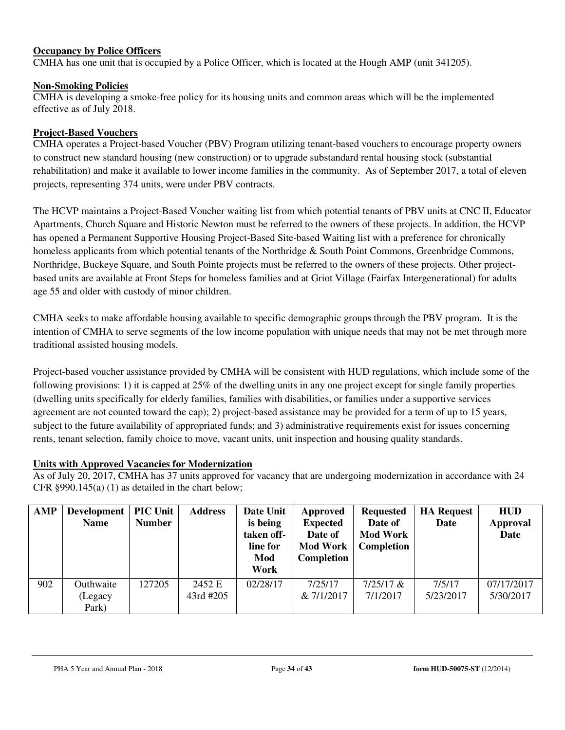#### **Occupancy by Police Officers**

CMHA has one unit that is occupied by a Police Officer, which is located at the Hough AMP (unit 341205).

#### **Non-Smoking Policies**

CMHA is developing a smoke-free policy for its housing units and common areas which will be the implemented effective as of July 2018.

#### **Project-Based Vouchers**

CMHA operates a Project-based Voucher (PBV) Program utilizing tenant-based vouchers to encourage property owners to construct new standard housing (new construction) or to upgrade substandard rental housing stock (substantial rehabilitation) and make it available to lower income families in the community. As of September 2017, a total of eleven projects, representing 374 units, were under PBV contracts.

The HCVP maintains a Project-Based Voucher waiting list from which potential tenants of PBV units at CNC II, Educator Apartments, Church Square and Historic Newton must be referred to the owners of these projects. In addition, the HCVP has opened a Permanent Supportive Housing Project-Based Site-based Waiting list with a preference for chronically homeless applicants from which potential tenants of the Northridge & South Point Commons, Greenbridge Commons, Northridge, Buckeye Square, and South Pointe projects must be referred to the owners of these projects. Other projectbased units are available at Front Steps for homeless families and at Griot Village (Fairfax Intergenerational) for adults age 55 and older with custody of minor children.

CMHA seeks to make affordable housing available to specific demographic groups through the PBV program. It is the intention of CMHA to serve segments of the low income population with unique needs that may not be met through more traditional assisted housing models.

Project-based voucher assistance provided by CMHA will be consistent with HUD regulations, which include some of the following provisions: 1) it is capped at 25% of the dwelling units in any one project except for single family properties (dwelling units specifically for elderly families, families with disabilities, or families under a supportive services agreement are not counted toward the cap); 2) project-based assistance may be provided for a term of up to 15 years, subject to the future availability of appropriated funds; and 3) administrative requirements exist for issues concerning rents, tenant selection, family choice to move, vacant units, unit inspection and housing quality standards.

#### **Units with Approved Vacancies for Modernization**

As of July 20, 2017, CMHA has 37 units approved for vacancy that are undergoing modernization in accordance with 24 CFR §990.145(a) (1) as detailed in the chart below;

| <b>AMP</b> | Development<br><b>Name</b>    | <b>PIC Unit</b><br><b>Number</b> | <b>Address</b>      | Date Unit<br>is being<br>taken off-<br>line for<br>Mod<br>Work | Approved<br><b>Expected</b><br>Date of<br><b>Mod Work</b><br>Completion | <b>Requested</b><br>Date of<br><b>Mod Work</b><br>Completion | <b>HA Request</b><br>Date | <b>HUD</b><br><b>Approval</b><br>Date |
|------------|-------------------------------|----------------------------------|---------------------|----------------------------------------------------------------|-------------------------------------------------------------------------|--------------------------------------------------------------|---------------------------|---------------------------------------|
| 902        | Outhwaite<br>(Legacy<br>Park) | 127205                           | 2452 E<br>43rd #205 | 02/28/17                                                       | 7/25/17<br>& 7/1/2017                                                   | $7/25/17$ &<br>7/1/2017                                      | 7/5/17<br>5/23/2017       | 07/17/2017<br>5/30/2017               |

PHA 5 Year and Annual Plan - 2018 Page **34** of **43 form HUD-50075-ST** (12/2014)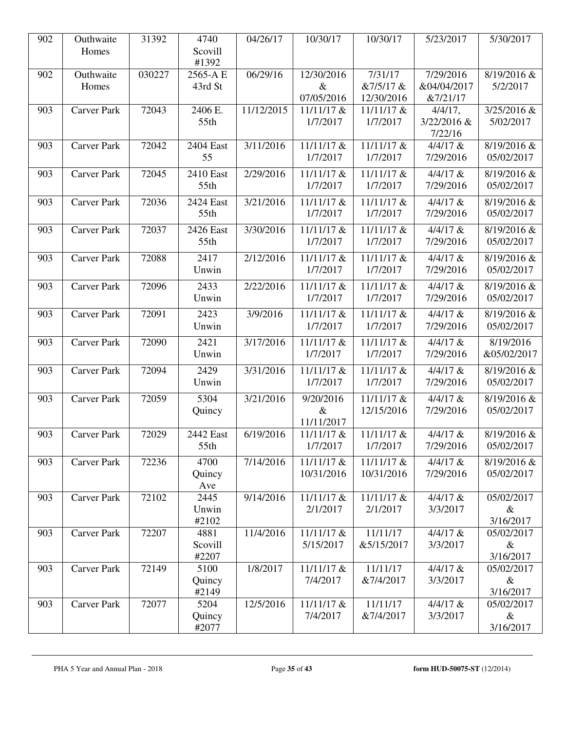| 902 | Outhwaite          | 31392  | 4740          | 04/26/17   | 10/30/17     | 10/30/17   | 5/23/2017   | 5/30/2017   |
|-----|--------------------|--------|---------------|------------|--------------|------------|-------------|-------------|
|     | Homes              |        | Scovill       |            |              |            |             |             |
|     |                    |        | #1392         |            |              |            |             |             |
| 902 | Outhwaite          | 030227 | 2565-A E      | 06/29/16   | 12/30/2016   | 7/31/17    | 7/29/2016   | 8/19/2016 & |
|     | Homes              |        | 43rd St       |            | $\&$         | &7/5/17 &  | &04/04/2017 | 5/2/2017    |
|     |                    |        |               |            | 07/05/2016   | 12/30/2016 | &7/21/17    |             |
| 903 | <b>Carver Park</b> | 72043  | 2406 E.       | 11/12/2015 | 11/11/17 &   | 11/11/17 & | $4/4/17$ ,  | 3/25/2016 & |
|     |                    |        | 55th          |            | 1/7/2017     | 1/7/2017   | 3/22/2016 & | 5/02/2017   |
|     |                    |        |               |            |              |            | 7/22/16     |             |
| 903 | <b>Carver Park</b> | 72042  | 2404 East     | 3/11/2016  | 11/11/17 &   | 11/11/17 & | $4/4/17$ &  | 8/19/2016 & |
|     |                    |        | 55            |            | 1/7/2017     | 1/7/2017   | 7/29/2016   | 05/02/2017  |
| 903 | <b>Carver Park</b> | 72045  | 2410 East     | 2/29/2016  | 11/11/17 &   | 11/11/17 & | $4/4/17$ &  | 8/19/2016 & |
|     |                    |        | 55th          |            | 1/7/2017     | 1/7/2017   | 7/29/2016   | 05/02/2017  |
| 903 | <b>Carver Park</b> | 72036  | 2424 East     | 3/21/2016  | 11/11/17 &   | 11/11/17 & | $4/4/17$ &  | 8/19/2016 & |
|     |                    |        | 55th          |            | 1/7/2017     | 1/7/2017   | 7/29/2016   | 05/02/2017  |
|     |                    |        |               |            |              |            |             |             |
| 903 | <b>Carver Park</b> | 72037  | 2426 East     | 3/30/2016  | 11/11/17 &   | 11/11/17 & | $4/4/17$ &  | 8/19/2016 & |
|     |                    |        | 55th          |            | 1/7/2017     | 1/7/2017   | 7/29/2016   | 05/02/2017  |
| 903 | <b>Carver Park</b> | 72088  | 2417          | 2/12/2016  | 11/11/17 &   | 11/11/17 & | $4/4/17$ &  | 8/19/2016 & |
|     |                    |        | Unwin         |            | 1/7/2017     | 1/7/2017   | 7/29/2016   | 05/02/2017  |
| 903 | <b>Carver Park</b> | 72096  | 2433          | 2/22/2016  | 11/11/17 &   | 11/11/17 & | $4/4/17$ &  | 8/19/2016 & |
|     |                    |        | Unwin         |            | 1/7/2017     | 1/7/2017   | 7/29/2016   | 05/02/2017  |
|     |                    |        |               |            |              |            |             |             |
| 903 | <b>Carver Park</b> | 72091  | 2423          | 3/9/2016   | 11/11/17 &   | 11/11/17 & | $4/4/17$ &  | 8/19/2016 & |
|     |                    |        | Unwin         |            | 1/7/2017     | 1/7/2017   | 7/29/2016   | 05/02/2017  |
| 903 | <b>Carver Park</b> | 72090  | 2421          | 3/17/2016  | 11/11/17 &   | 11/11/17 & | $4/4/17$ &  | 8/19/2016   |
|     |                    |        | Unwin         |            | 1/7/2017     | 1/7/2017   | 7/29/2016   | &05/02/2017 |
| 903 | <b>Carver Park</b> | 72094  | 2429          | 3/31/2016  | 11/11/17 &   | 11/11/17 & | $4/4/17$ &  | 8/19/2016 & |
|     |                    |        | Unwin         |            | 1/7/2017     | 1/7/2017   | 7/29/2016   | 05/02/2017  |
| 903 | <b>Carver Park</b> | 72059  | 5304          | 3/21/2016  | 9/20/2016    | 11/11/17 & | $4/4/17$ &  | 8/19/2016 & |
|     |                    |        | Quincy        |            | $\&$         | 12/15/2016 | 7/29/2016   | 05/02/2017  |
|     |                    |        |               |            | 11/11/2017   |            |             |             |
| 903 | <b>Carver Park</b> | 72029  | 2442 East     | 6/19/2016  | $11/11/17$ & | 11/11/17 & | $4/4/17$ &  | 8/19/2016 & |
|     |                    |        | 55th          |            | 1/7/2017     | 1/7/2017   | 7/29/2016   | 05/02/2017  |
| 903 | <b>Carver Park</b> | 72236  | 4700          | 7/14/2016  | 11/11/17 &   | 11/11/17 & | $4/4/17$ &  | 8/19/2016 & |
|     |                    |        |               |            | 10/31/2016   | 10/31/2016 | 7/29/2016   | 05/02/2017  |
|     |                    |        | Quincy<br>Ave |            |              |            |             |             |
| 903 | Carver Park        | 72102  | 2445          | 9/14/2016  | 11/11/17 &   | 11/11/17 & | $4/4/17$ &  | 05/02/2017  |
|     |                    |        | Unwin         |            | 2/1/2017     | 2/1/2017   | 3/3/2017    | $\&$        |
|     |                    |        | #2102         |            |              |            |             | 3/16/2017   |
| 903 | <b>Carver Park</b> | 72207  | 4881          | 11/4/2016  | 11/11/17 &   | 11/11/17   | $4/4/17$ &  | 05/02/2017  |
|     |                    |        | Scovill       |            | 5/15/2017    | &5/15/2017 | 3/3/2017    | $\&$        |
|     |                    |        | #2207         |            |              |            |             | 3/16/2017   |
| 903 | <b>Carver Park</b> | 72149  | 5100          | 1/8/2017   | 11/11/17 &   | 11/11/17   | $4/4/17$ &  | 05/02/2017  |
|     |                    |        | Quincy        |            | 7/4/2017     | &7/4/2017  | 3/3/2017    | $\&$        |
|     |                    |        | #2149         |            |              |            |             | 3/16/2017   |
| 903 | <b>Carver Park</b> | 72077  | 5204          | 12/5/2016  | 11/11/17 &   | 11/11/17   | $4/4/17$ &  | 05/02/2017  |
|     |                    |        | Quincy        |            | 7/4/2017     | &7/4/2017  | 3/3/2017    | $\&$        |
|     |                    |        | #2077         |            |              |            |             | 3/16/2017   |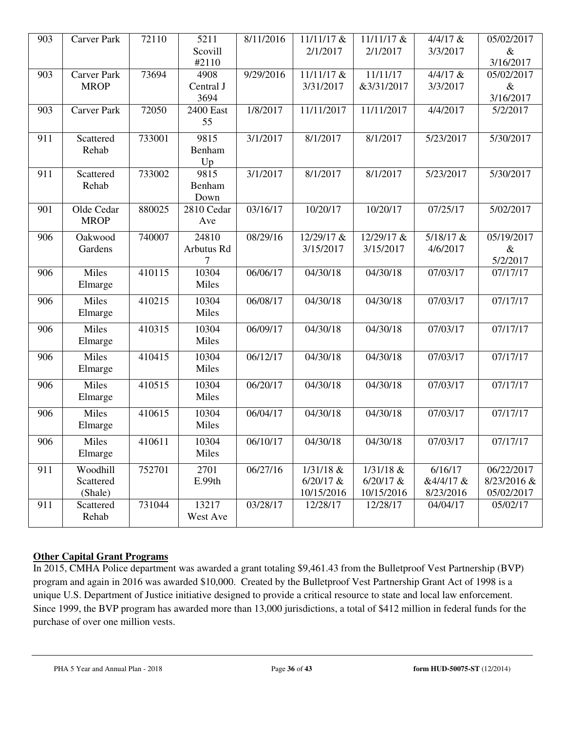| 903 | <b>Carver Park</b>                | 72110  | 5211                      | 8/11/2016 | 11/11/17 &                               | 11/11/17 &                               | $4/4/17$ &                        | 05/02/2017                              |
|-----|-----------------------------------|--------|---------------------------|-----------|------------------------------------------|------------------------------------------|-----------------------------------|-----------------------------------------|
|     |                                   |        | Scovill<br>#2110          |           | 2/1/2017                                 | 2/1/2017                                 | 3/3/2017                          | $\&$<br>3/16/2017                       |
| 903 | <b>Carver Park</b><br><b>MROP</b> | 73694  | 4908<br>Central J<br>3694 | 9/29/2016 | 11/11/17 &<br>3/31/2017                  | 11/11/17<br>&3/31/2017                   | $4/4/17$ &<br>3/3/2017            | 05/02/2017<br>$\&$<br>3/16/2017         |
| 903 | <b>Carver Park</b>                | 72050  | <b>2400 East</b><br>55    | 1/8/2017  | 11/11/2017                               | 11/11/2017                               | 4/4/2017                          | 5/2/2017                                |
| 911 | Scattered<br>Rehab                | 733001 | 9815<br>Benham<br>Up      | 3/1/2017  | 8/1/2017                                 | 8/1/2017                                 | 5/23/2017                         | 5/30/2017                               |
| 911 | Scattered<br>Rehab                | 733002 | 9815<br>Benham<br>Down    | 3/1/2017  | 8/1/2017                                 | 8/1/2017                                 | 5/23/2017                         | 5/30/2017                               |
| 901 | Olde Cedar<br><b>MROP</b>         | 880025 | 2810 Cedar<br>Ave         | 03/16/17  | 10/20/17                                 | 10/20/17                                 | 07/25/17                          | 5/02/2017                               |
| 906 | Oakwood<br>Gardens                | 740007 | 24810<br>Arbutus Rd       | 08/29/16  | 12/29/17 &<br>3/15/2017                  | 12/29/17 &<br>3/15/2017                  | 5/18/17 &<br>4/6/2017             | 05/19/2017<br>$\&$<br>5/2/2017          |
| 906 | Miles<br>Elmarge                  | 410115 | 10304<br>Miles            | 06/06/17  | 04/30/18                                 | 04/30/18                                 | 07/03/17                          | 07/17/17                                |
| 906 | Miles<br>Elmarge                  | 410215 | 10304<br>Miles            | 06/08/17  | 04/30/18                                 | 04/30/18                                 | 07/03/17                          | 07/17/17                                |
| 906 | Miles<br>Elmarge                  | 410315 | 10304<br>Miles            | 06/09/17  | $\frac{04}{30/18}$                       | 04/30/18                                 | 07/03/17                          | 07/17/17                                |
| 906 | Miles<br>Elmarge                  | 410415 | 10304<br>Miles            | 06/12/17  | 04/30/18                                 | 04/30/18                                 | 07/03/17                          | 07/17/17                                |
| 906 | Miles<br>Elmarge                  | 410515 | 10304<br>Miles            | 06/20/17  | 04/30/18                                 | $\overline{04/30/18}$                    | 07/03/17                          | 07/17/17                                |
| 906 | Miles<br>Elmarge                  | 410615 | 10304<br>Miles            | 06/04/17  | 04/30/18                                 | 04/30/18                                 | 07/03/17                          | 07/17/17                                |
| 906 | Miles<br>Elmarge                  | 410611 | 10304<br>Miles            | 06/10/17  | 04/30/18                                 | 04/30/18                                 | 07/03/17                          | 07/17/17                                |
| 911 | Woodhill<br>Scattered<br>(Shale)  | 752701 | 2701<br>E.99th            | 06/27/16  | $1/31/18$ &<br>$6/20/17$ &<br>10/15/2016 | $1/31/18$ &<br>$6/20/17$ &<br>10/15/2016 | 6/16/17<br>&4/4/17 &<br>8/23/2016 | 06/22/2017<br>8/23/2016 &<br>05/02/2017 |
| 911 | Scattered<br>Rehab                | 731044 | 13217<br>West Ave         | 03/28/17  | 12/28/17                                 | 12/28/17                                 | 04/04/17                          | 05/02/17                                |

#### **Other Capital Grant Programs**

In 2015, CMHA Police department was awarded a grant totaling \$9,461.43 from the Bulletproof Vest Partnership (BVP) program and again in 2016 was awarded \$10,000. Created by the Bulletproof Vest Partnership Grant Act of 1998 is a unique U.S. Department of Justice initiative designed to provide a critical resource to state and local law enforcement. Since 1999, the BVP program has awarded more than 13,000 jurisdictions, a total of \$412 million in federal funds for the purchase of over one million vests.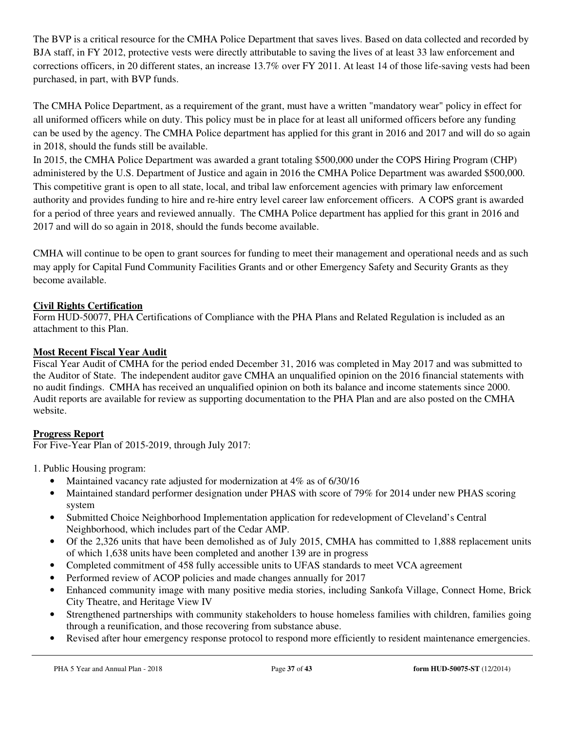The BVP is a critical resource for the CMHA Police Department that saves lives. Based on data collected and recorded by BJA staff, in FY 2012, protective vests were directly attributable to saving the lives of at least 33 law enforcement and corrections officers, in 20 different states, an increase 13.7% over FY 2011. At least 14 of those life-saving vests had been purchased, in part, with BVP funds.

The CMHA Police Department, as a requirement of the grant, must have a written "mandatory wear" policy in effect for all uniformed officers while on duty. This policy must be in place for at least all uniformed officers before any funding can be used by the agency. The CMHA Police department has applied for this grant in 2016 and 2017 and will do so again in 2018, should the funds still be available.

In 2015, the CMHA Police Department was awarded a grant totaling \$500,000 under the COPS Hiring Program (CHP) administered by the U.S. Department of Justice and again in 2016 the CMHA Police Department was awarded \$500,000. This competitive grant is open to all state, local, and tribal law enforcement agencies with primary law enforcement authority and provides funding to hire and re-hire entry level career law enforcement officers. A COPS grant is awarded for a period of three years and reviewed annually. The CMHA Police department has applied for this grant in 2016 and 2017 and will do so again in 2018, should the funds become available.

CMHA will continue to be open to grant sources for funding to meet their management and operational needs and as such may apply for Capital Fund Community Facilities Grants and or other Emergency Safety and Security Grants as they become available.

### **Civil Rights Certification**

Form HUD-50077, PHA Certifications of Compliance with the PHA Plans and Related Regulation is included as an attachment to this Plan.

### **Most Recent Fiscal Year Audit**

Fiscal Year Audit of CMHA for the period ended December 31, 2016 was completed in May 2017 and was submitted to the Auditor of State. The independent auditor gave CMHA an unqualified opinion on the 2016 financial statements with no audit findings. CMHA has received an unqualified opinion on both its balance and income statements since 2000. Audit reports are available for review as supporting documentation to the PHA Plan and are also posted on the CMHA website.

# **Progress Report**

For Five-Year Plan of 2015-2019, through July 2017:

1. Public Housing program:

- Maintained vacancy rate adjusted for modernization at 4% as of 6/30/16
- Maintained standard performer designation under PHAS with score of 79% for 2014 under new PHAS scoring system
- Submitted Choice Neighborhood Implementation application for redevelopment of Cleveland's Central Neighborhood, which includes part of the Cedar AMP.
- Of the 2,326 units that have been demolished as of July 2015, CMHA has committed to 1,888 replacement units of which 1,638 units have been completed and another 139 are in progress
- Completed commitment of 458 fully accessible units to UFAS standards to meet VCA agreement
- Performed review of ACOP policies and made changes annually for 2017
- Enhanced community image with many positive media stories, including Sankofa Village, Connect Home, Brick City Theatre, and Heritage View IV
- Strengthened partnerships with community stakeholders to house homeless families with children, families going through a reunification, and those recovering from substance abuse.
- Revised after hour emergency response protocol to respond more efficiently to resident maintenance emergencies.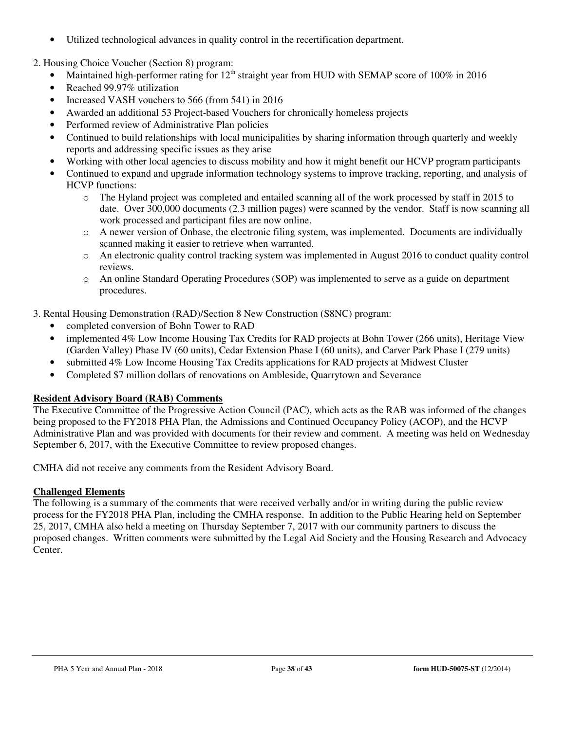• Utilized technological advances in quality control in the recertification department.

2. Housing Choice Voucher (Section 8) program:

- Maintained high-performer rating for  $12<sup>th</sup>$  straight year from HUD with SEMAP score of 100% in 2016
- Reached 99.97% utilization
- Increased VASH vouchers to 566 (from 541) in 2016
- Awarded an additional 53 Project-based Vouchers for chronically homeless projects
- Performed review of Administrative Plan policies
- Continued to build relationships with local municipalities by sharing information through quarterly and weekly reports and addressing specific issues as they arise
- Working with other local agencies to discuss mobility and how it might benefit our HCVP program participants
- Continued to expand and upgrade information technology systems to improve tracking, reporting, and analysis of HCVP functions:
	- o The Hyland project was completed and entailed scanning all of the work processed by staff in 2015 to date. Over 300,000 documents (2.3 million pages) were scanned by the vendor. Staff is now scanning all work processed and participant files are now online.
	- $\circ$  A newer version of Onbase, the electronic filing system, was implemented. Documents are individually scanned making it easier to retrieve when warranted.
	- $\circ$  An electronic quality control tracking system was implemented in August 2016 to conduct quality control reviews.
	- o An online Standard Operating Procedures (SOP) was implemented to serve as a guide on department procedures.

3. Rental Housing Demonstration (RAD)/Section 8 New Construction (S8NC) program:

- completed conversion of Bohn Tower to RAD
- implemented 4% Low Income Housing Tax Credits for RAD projects at Bohn Tower (266 units), Heritage View (Garden Valley) Phase IV (60 units), Cedar Extension Phase I (60 units), and Carver Park Phase I (279 units)
- submitted 4% Low Income Housing Tax Credits applications for RAD projects at Midwest Cluster
- Completed \$7 million dollars of renovations on Ambleside, Quarrytown and Severance

# **Resident Advisory Board (RAB) Comments**

The Executive Committee of the Progressive Action Council (PAC), which acts as the RAB was informed of the changes being proposed to the FY2018 PHA Plan, the Admissions and Continued Occupancy Policy (ACOP), and the HCVP Administrative Plan and was provided with documents for their review and comment. A meeting was held on Wednesday September 6, 2017, with the Executive Committee to review proposed changes.

CMHA did not receive any comments from the Resident Advisory Board.

# **Challenged Elements**

The following is a summary of the comments that were received verbally and/or in writing during the public review process for the FY2018 PHA Plan, including the CMHA response. In addition to the Public Hearing held on September 25, 2017, CMHA also held a meeting on Thursday September 7, 2017 with our community partners to discuss the proposed changes. Written comments were submitted by the Legal Aid Society and the Housing Research and Advocacy Center.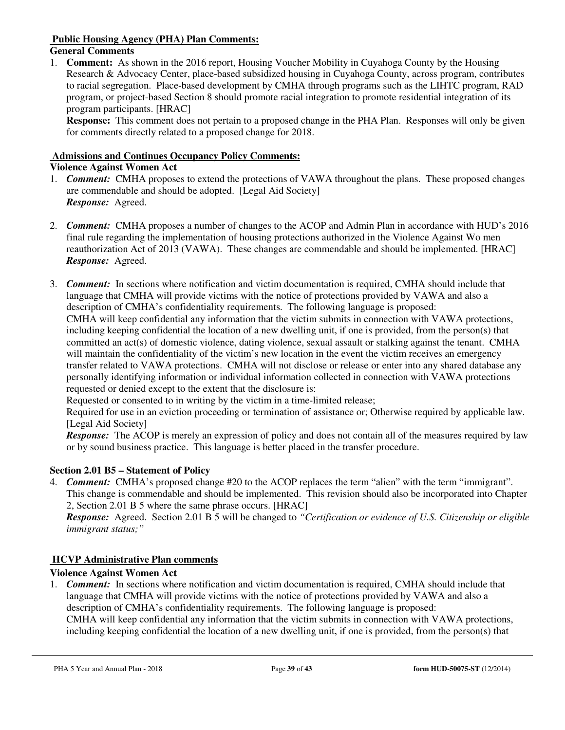#### **Public Housing Agency (PHA) Plan Comments:**

#### **General Comments**

1. **Comment:** As shown in the 2016 report, Housing Voucher Mobility in Cuyahoga County by the Housing Research & Advocacy Center, place-based subsidized housing in Cuyahoga County, across program, contributes to racial segregation. Place-based development by CMHA through programs such as the LIHTC program, RAD program, or project-based Section 8 should promote racial integration to promote residential integration of its program participants. [HRAC]

**Response:** This comment does not pertain to a proposed change in the PHA Plan. Responses will only be given for comments directly related to a proposed change for 2018.

#### **Admissions and Continues Occupancy Policy Comments:**

# **Violence Against Women Act**

- 1. *Comment:* CMHA proposes to extend the protections of VAWA throughout the plans. These proposed changes are commendable and should be adopted. [Legal Aid Society] *Response:* Agreed.
- 2. *Comment:* CMHA proposes a number of changes to the ACOP and Admin Plan in accordance with HUD's 2016 final rule regarding the implementation of housing protections authorized in the Violence Against Wo men reauthorization Act of 2013 (VAWA). These changes are commendable and should be implemented. [HRAC] *Response:* Agreed.
- 3. *Comment:* In sections where notification and victim documentation is required, CMHA should include that language that CMHA will provide victims with the notice of protections provided by VAWA and also a description of CMHA's confidentiality requirements. The following language is proposed:

CMHA will keep confidential any information that the victim submits in connection with VAWA protections, including keeping confidential the location of a new dwelling unit, if one is provided, from the person(s) that committed an act(s) of domestic violence, dating violence, sexual assault or stalking against the tenant. CMHA will maintain the confidentiality of the victim's new location in the event the victim receives an emergency transfer related to VAWA protections. CMHA will not disclose or release or enter into any shared database any personally identifying information or individual information collected in connection with VAWA protections requested or denied except to the extent that the disclosure is:

Requested or consented to in writing by the victim in a time-limited release;

Required for use in an eviction proceeding or termination of assistance or; Otherwise required by applicable law. [Legal Aid Society]

*Response:* The ACOP is merely an expression of policy and does not contain all of the measures required by law or by sound business practice. This language is better placed in the transfer procedure.

#### **Section 2.01 B5 – Statement of Policy**

4. *Comment:* CMHA's proposed change #20 to the ACOP replaces the term "alien" with the term "immigrant". This change is commendable and should be implemented. This revision should also be incorporated into Chapter 2, Section 2.01 B 5 where the same phrase occurs. [HRAC]

*Response:* Agreed. Section 2.01 B 5 will be changed to *"Certification or evidence of U.S. Citizenship or eligible immigrant status;"* 

#### **HCVP Administrative Plan comments**

#### **Violence Against Women Act**

1. *Comment:* In sections where notification and victim documentation is required, CMHA should include that language that CMHA will provide victims with the notice of protections provided by VAWA and also a description of CMHA's confidentiality requirements. The following language is proposed: CMHA will keep confidential any information that the victim submits in connection with VAWA protections, including keeping confidential the location of a new dwelling unit, if one is provided, from the person(s) that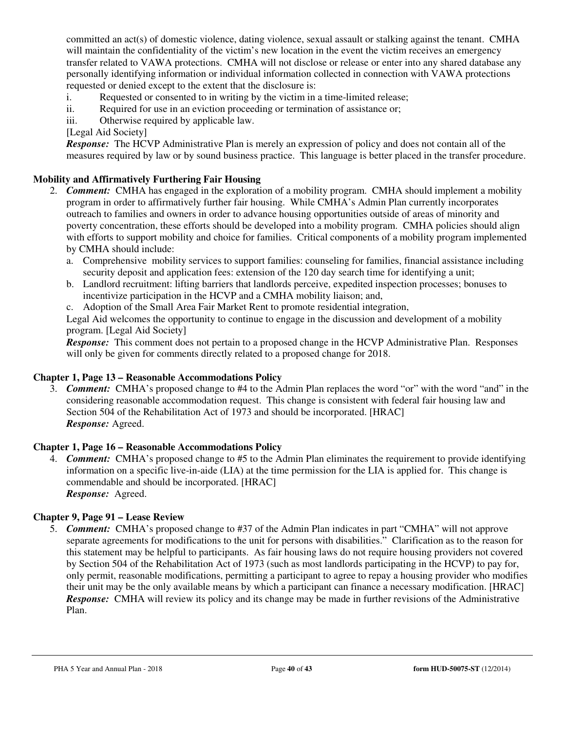committed an act(s) of domestic violence, dating violence, sexual assault or stalking against the tenant. CMHA will maintain the confidentiality of the victim's new location in the event the victim receives an emergency transfer related to VAWA protections. CMHA will not disclose or release or enter into any shared database any personally identifying information or individual information collected in connection with VAWA protections requested or denied except to the extent that the disclosure is:

- i. Requested or consented to in writing by the victim in a time-limited release;
- ii. Required for use in an eviction proceeding or termination of assistance or;
- iii. Otherwise required by applicable law.
- [Legal Aid Society]

*Response:* The HCVP Administrative Plan is merely an expression of policy and does not contain all of the measures required by law or by sound business practice. This language is better placed in the transfer procedure.

#### **Mobility and Affirmatively Furthering Fair Housing**

- 2. *Comment:* CMHA has engaged in the exploration of a mobility program. CMHA should implement a mobility program in order to affirmatively further fair housing. While CMHA's Admin Plan currently incorporates outreach to families and owners in order to advance housing opportunities outside of areas of minority and poverty concentration, these efforts should be developed into a mobility program. CMHA policies should align with efforts to support mobility and choice for families. Critical components of a mobility program implemented by CMHA should include:
	- a. Comprehensive mobility services to support families: counseling for families, financial assistance including security deposit and application fees: extension of the 120 day search time for identifying a unit;
	- b. Landlord recruitment: lifting barriers that landlords perceive, expedited inspection processes; bonuses to incentivize participation in the HCVP and a CMHA mobility liaison; and,
	- c. Adoption of the Small Area Fair Market Rent to promote residential integration,

Legal Aid welcomes the opportunity to continue to engage in the discussion and development of a mobility program. [Legal Aid Society]

*Response:* This comment does not pertain to a proposed change in the HCVP Administrative Plan. Responses will only be given for comments directly related to a proposed change for 2018.

#### **Chapter 1, Page 13 – Reasonable Accommodations Policy**

3. *Comment:* CMHA's proposed change to #4 to the Admin Plan replaces the word "or" with the word "and" in the considering reasonable accommodation request. This change is consistent with federal fair housing law and Section 504 of the Rehabilitation Act of 1973 and should be incorporated. [HRAC] *Response:* Agreed.

#### **Chapter 1, Page 16 – Reasonable Accommodations Policy**

4. *Comment:* CMHA's proposed change to #5 to the Admin Plan eliminates the requirement to provide identifying information on a specific live-in-aide (LIA) at the time permission for the LIA is applied for. This change is commendable and should be incorporated. [HRAC] *Response:* Agreed.

#### **Chapter 9, Page 91 – Lease Review**

5. *Comment:* CMHA's proposed change to #37 of the Admin Plan indicates in part "CMHA" will not approve separate agreements for modifications to the unit for persons with disabilities." Clarification as to the reason for this statement may be helpful to participants. As fair housing laws do not require housing providers not covered by Section 504 of the Rehabilitation Act of 1973 (such as most landlords participating in the HCVP) to pay for, only permit, reasonable modifications, permitting a participant to agree to repay a housing provider who modifies their unit may be the only available means by which a participant can finance a necessary modification. [HRAC] *Response:* CMHA will review its policy and its change may be made in further revisions of the Administrative Plan.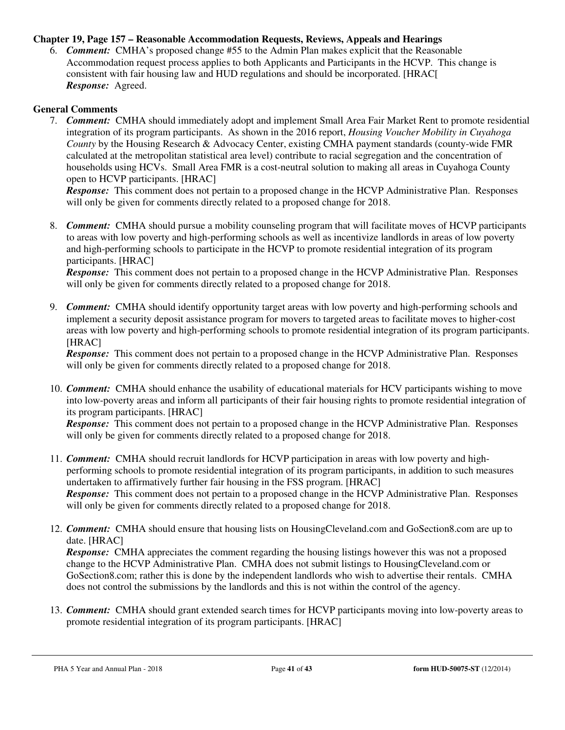#### **Chapter 19, Page 157 – Reasonable Accommodation Requests, Reviews, Appeals and Hearings**

6. *Comment:* CMHA's proposed change #55 to the Admin Plan makes explicit that the Reasonable Accommodation request process applies to both Applicants and Participants in the HCVP. This change is consistent with fair housing law and HUD regulations and should be incorporated. [HRAC[ *Response:* Agreed.

#### **General Comments**

7. *Comment:* CMHA should immediately adopt and implement Small Area Fair Market Rent to promote residential integration of its program participants. As shown in the 2016 report, *Housing Voucher Mobility in Cuyahoga County* by the Housing Research & Advocacy Center, existing CMHA payment standards (county-wide FMR calculated at the metropolitan statistical area level) contribute to racial segregation and the concentration of households using HCVs. Small Area FMR is a cost-neutral solution to making all areas in Cuyahoga County open to HCVP participants. [HRAC]

*Response:* This comment does not pertain to a proposed change in the HCVP Administrative Plan. Responses will only be given for comments directly related to a proposed change for 2018.

8. *Comment:* CMHA should pursue a mobility counseling program that will facilitate moves of HCVP participants to areas with low poverty and high-performing schools as well as incentivize landlords in areas of low poverty and high-performing schools to participate in the HCVP to promote residential integration of its program participants. [HRAC]

*Response:* This comment does not pertain to a proposed change in the HCVP Administrative Plan. Responses will only be given for comments directly related to a proposed change for 2018.

9. *Comment:* CMHA should identify opportunity target areas with low poverty and high-performing schools and implement a security deposit assistance program for movers to targeted areas to facilitate moves to higher-cost areas with low poverty and high-performing schools to promote residential integration of its program participants. [HRAC]

*Response:* This comment does not pertain to a proposed change in the HCVP Administrative Plan. Responses will only be given for comments directly related to a proposed change for 2018.

10. *Comment:* CMHA should enhance the usability of educational materials for HCV participants wishing to move into low-poverty areas and inform all participants of their fair housing rights to promote residential integration of its program participants. [HRAC]

*Response:* This comment does not pertain to a proposed change in the HCVP Administrative Plan. Responses will only be given for comments directly related to a proposed change for 2018.

- 11. *Comment:* CMHA should recruit landlords for HCVP participation in areas with low poverty and highperforming schools to promote residential integration of its program participants, in addition to such measures undertaken to affirmatively further fair housing in the FSS program. [HRAC] *Response:* This comment does not pertain to a proposed change in the HCVP Administrative Plan. Responses will only be given for comments directly related to a proposed change for 2018.
- 12. *Comment:* CMHA should ensure that housing lists on HousingCleveland.com and GoSection8.com are up to date. [HRAC]

*Response:* CMHA appreciates the comment regarding the housing listings however this was not a proposed change to the HCVP Administrative Plan. CMHA does not submit listings to HousingCleveland.com or GoSection8.com; rather this is done by the independent landlords who wish to advertise their rentals. CMHA does not control the submissions by the landlords and this is not within the control of the agency.

13. *Comment:* CMHA should grant extended search times for HCVP participants moving into low-poverty areas to promote residential integration of its program participants. [HRAC]

PHA 5 Year and Annual Plan - 2018 Page **41** of **43 form HUD-50075-ST** (12/2014)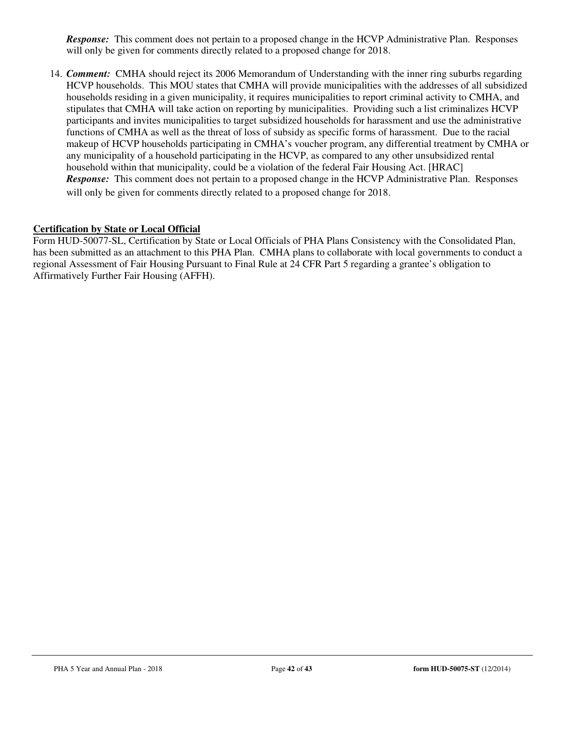*Response:* This comment does not pertain to a proposed change in the HCVP Administrative Plan. Responses will only be given for comments directly related to a proposed change for 2018.

14. *Comment:* CMHA should reject its 2006 Memorandum of Understanding with the inner ring suburbs regarding HCVP households. This MOU states that CMHA will provide municipalities with the addresses of all subsidized households residing in a given municipality, it requires municipalities to report criminal activity to CMHA, and stipulates that CMHA will take action on reporting by municipalities. Providing such a list criminalizes HCVP participants and invites municipalities to target subsidized households for harassment and use the administrative functions of CMHA as well as the threat of loss of subsidy as specific forms of harassment. Due to the racial makeup of HCVP households participating in CMHA's voucher program, any differential treatment by CMHA or any municipality of a household participating in the HCVP, as compared to any other unsubsidized rental household within that municipality, could be a violation of the federal Fair Housing Act. [HRAC] *Response:* This comment does not pertain to a proposed change in the HCVP Administrative Plan. Responses will only be given for comments directly related to a proposed change for 2018.

#### **Certification by State or Local Official**

Form HUD-50077-SL, Certification by State or Local Officials of PHA Plans Consistency with the Consolidated Plan, has been submitted as an attachment to this PHA Plan. CMHA plans to collaborate with local governments to conduct a regional Assessment of Fair Housing Pursuant to Final Rule at 24 CFR Part 5 regarding a grantee's obligation to Affirmatively Further Fair Housing (AFFH).